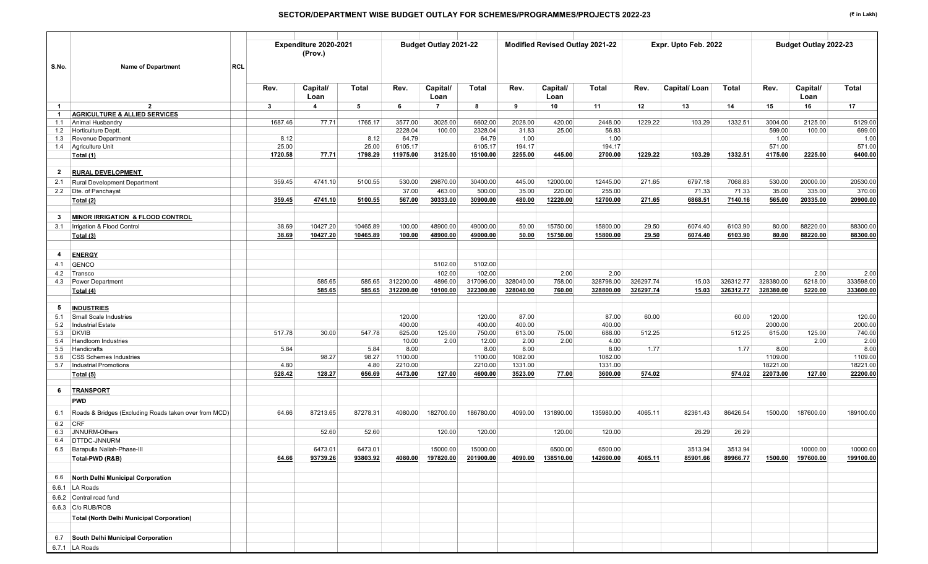|              |                                                               |                  | Expenditure 2020-2021<br>(Prov.) |                  |                    | Budget Outlay 2021-22 |                    |                    | Modified Revised Outlay 2021-22 |                      |           | Expr. Upto Feb. 2022 |           |                     | Budget Outlay 2022-23 |                     |
|--------------|---------------------------------------------------------------|------------------|----------------------------------|------------------|--------------------|-----------------------|--------------------|--------------------|---------------------------------|----------------------|-----------|----------------------|-----------|---------------------|-----------------------|---------------------|
| S.No.        | <b>Name of Department</b><br><b>RCL</b>                       |                  |                                  |                  |                    |                       |                    |                    |                                 |                      |           |                      |           |                     |                       |                     |
|              |                                                               | Rev.             | Capital/<br>Loan                 | Total            | Rev.               | Capital/<br>Loan      | Total              | Rev.               | Capital/<br>Loan                | Total                | Rev.      | <b>Capital/Loan</b>  | Total     | Rev.                | Capital/<br>Loan      | Total               |
| $\mathbf{1}$ | $\overline{2}$                                                | $3^{\circ}$      | $\overline{\mathbf{4}}$          | 5                | -6                 | $\overline{7}$        | 8                  | 9                  | 10                              | 11                   | 12        | 13                   | 14        | 15                  | 16                    | 17                  |
| $\mathbf 1$  | <b>AGRICULTURE &amp; ALLIED SERVICES</b>                      |                  |                                  |                  |                    |                       |                    |                    |                                 |                      |           |                      |           |                     |                       |                     |
| 1.1          | Animal Husbandry                                              | 1687.46          | 77.71                            | 1765.17          | 3577.00            | 3025.00               | 6602.00            | 2028.00            | 420.00                          | 2448.00              | 1229.22   | 103.29               | 1332.51   | 3004.00             | 2125.00               | 5129.00             |
| 1.2          | Horticulture Deptt.                                           |                  |                                  |                  | 2228.04            | 100.00                | 2328.04            | 31.83              | 25.00                           | 56.83                |           |                      |           | 599.00              | 100.00                | 699.00              |
| 1.3          | Revenue Department                                            | 8.12             |                                  | 8.12             | 64.79              |                       | 64.79              | 1.00               |                                 | 1.00                 |           |                      |           | 1.00                |                       | 1.00                |
| 1.4          | Agriculture Unit                                              | 25.00<br>1720.58 | 77.71                            | 25.00<br>1798.29 | 6105.17            |                       | 6105.17            | 194.17             |                                 | 194.17               | 1229.22   | 103.29               | 1332.51   | 571.00              | 2225.00               | 571.00              |
|              | Total (1)                                                     |                  |                                  |                  | 11975.00           | 3125.00               | 15100.00           | 2255.00            | 445.00                          | 2700.00              |           |                      |           | 4175.00             |                       | 6400.00             |
| $\mathbf{2}$ | <b>RURAL DEVELOPMENT</b>                                      |                  |                                  |                  |                    |                       |                    |                    |                                 |                      |           |                      |           |                     |                       |                     |
| 2.1          | <b>Rural Development Department</b>                           | 359.45           | 4741.10                          | 5100.55          | 530.00             | 29870.00              | 30400.00           | 445.00             | 12000.00                        | 12445.00             | 271.65    | 6797.18              | 7068.83   | 530.00              | 20000.00              | 20530.00            |
|              | 2.2 Dte. of Panchayat                                         |                  |                                  |                  | 37.00              | 463.00                | 500.00             | 35.00              | 220.00                          | 255.00               |           | 71.33                | 71.33     | 35.00               | 335.00                | 370.00              |
|              | Total (2)                                                     | 359.45           | 4741.10                          | 5100.55          | 567.00             | 30333.00              | 30900.00           | 480.00             | 12220.00                        | 12700.00             | 271.65    | 6868.51              | 7140.16   | 565.00              | 20335.00              | 20900.00            |
|              |                                                               |                  |                                  |                  |                    |                       |                    |                    |                                 |                      |           |                      |           |                     |                       |                     |
| -3           | MINOR IRRIGATION & FLOOD CONTROL                              | 38.69            | 10427.20                         | 10465.89         | 100.00             | 48900.00              | 49000.00           | 50.00              | 15750.00                        |                      | 29.50     | 6074.40              | 6103.90   |                     | 88220.00              | 88300.00            |
| 3.1          | Irrigation & Flood Control                                    |                  |                                  |                  |                    |                       |                    |                    |                                 | 15800.00             |           |                      |           | 80.00               |                       |                     |
|              | Total (3)                                                     | 38.69            | 10427.20                         | 10465.89         | 100.00             | 48900.00              | 49000.00           | 50.00              | 15750.00                        | 15800.00             | 29.50     | 6074.40              | 6103.90   | 80.00               | 88220.00              | 88300.00            |
| 4            | <b>ENERGY</b>                                                 |                  |                                  |                  |                    |                       |                    |                    |                                 |                      |           |                      |           |                     |                       |                     |
| 4.1          | <b>GENCO</b>                                                  |                  |                                  |                  |                    | 5102.00               | 5102.00            |                    |                                 |                      |           |                      |           |                     |                       |                     |
| 4.2          | Transco                                                       |                  |                                  |                  |                    | 102.00                | 102.00             |                    | 2.00                            | 2.00                 |           |                      |           |                     | 2.00                  | 2.00                |
| 4.3          | <b>Power Department</b>                                       |                  | 585.65                           | 585.65           | 312200.00          | 4896.00               | 317096.00          | 328040.00          | 758.00                          | 328798.00            | 326297.74 | 15.03                | 326312.77 | 328380.00           | 5218.00               | 333598.00           |
|              | Total (4)                                                     |                  | 585.65                           | 585.65           | 312200.00          | 10100.00              | 322300.00          | 328040.00          | 760.00                          | 328800.00            | 326297.74 | 15.03                | 326312.77 | 328380.00           | 5220.00               | 333600.00           |
| -5           | <b>INDUSTRIES</b>                                             |                  |                                  |                  |                    |                       |                    |                    |                                 |                      |           |                      |           |                     |                       |                     |
| 5.1          | Small Scale Industries                                        |                  |                                  |                  | 120.00             |                       | 120.00             | 87.00              |                                 | 87.00                | 60.00     |                      | 60.00     | 120.00              |                       | 120.00              |
| 5.2          | <b>Industrial Estate</b>                                      |                  |                                  |                  | 400.00             |                       | 400.00             | 400.00             |                                 | 400.00               |           |                      |           | 2000.00             |                       | 2000.00             |
| 5.3          | <b>DKVIB</b>                                                  | 517.78           | 30.00                            | 547.78           | 625.00             | 125.00                | 750.00             | 613.00             | 75.00                           | 688.00               | 512.25    |                      | 512.25    | 615.00              | 125.00                | 740.00              |
| 5.4          | <b>Handloom Industries</b>                                    |                  |                                  |                  | 10.00              | 2.00                  | 12.00              | 2.00               | 2.00                            | 4.00                 |           |                      |           |                     | 2.00                  | 2.00                |
| 5.5          | Handicrafts                                                   | 5.84             |                                  | 5.84             | 8.00               |                       | 8.00               | 8.00               |                                 | 8.00                 | 1.77      |                      | 1.77      | 8.00                |                       | 8.00                |
| 5.6<br>5.7   | <b>CSS Schemes Industries</b><br><b>Industrial Promotions</b> | 4.80             | 98.27                            | 98.27<br>4.80    | 1100.00<br>2210.00 |                       | 1100.00<br>2210.00 | 1082.00<br>1331.00 |                                 | 1082.00<br>1331.00   |           |                      |           | 1109.00<br>18221.00 |                       | 1109.00<br>18221.00 |
|              | Total (5)                                                     | 528.42           | 128.27                           | 656.69           | 4473.00            | 127.00                | 4600.00            | 3523.00            | 77.00                           | 3600.00              | 574.02    |                      | 574.02    | 22073.00            | 127.00                | 22200.00            |
|              |                                                               |                  |                                  |                  |                    |                       |                    |                    |                                 |                      |           |                      |           |                     |                       |                     |
| 6            | <b>TRANSPORT</b>                                              |                  |                                  |                  |                    |                       |                    |                    |                                 |                      |           |                      |           |                     |                       |                     |
|              | <b>PWD</b>                                                    |                  |                                  |                  |                    |                       |                    |                    |                                 |                      |           |                      |           |                     |                       |                     |
| 6.1          | Roads & Bridges (Excluding Roads taken over from MCD)         | 64.66            | 87213.65                         | 87278.31         | 4080.00            | 182700.00             | 186780.00          | 4090.00            | 131890.00                       | 135980.00            | 4065.11   | 82361.43             | 86426.54  | 1500.00             | 187600.00             | 189100.00           |
| 6.2          | <b>CRF</b>                                                    |                  |                                  |                  |                    |                       |                    |                    |                                 |                      |           |                      |           |                     |                       |                     |
| 6.3          | JNNURM-Others                                                 |                  | 52.60                            | 52.60            |                    | 120.00                | 120.00             |                    | 120.00                          | 120.00               |           | 26.29                | 26.29     |                     |                       |                     |
| 6.4          | DTTDC-JNNURM                                                  |                  |                                  |                  |                    |                       |                    |                    |                                 |                      |           |                      |           |                     |                       | 10000.00            |
|              | 6.5 Barapulla Nallah-Phase-III                                |                  | 6473.01                          | 6473.01          |                    | 15000.00              | 15000.00           | 4090.00            | 6500.00                         | 6500.00<br>142600.00 |           | 3513.94              | 3513.94   |                     | 10000.00              |                     |
|              | Total-PWD (R&B)                                               | 64.66            | 93739.26                         | 93803.92         | 4080.00            | 197820.00             | 201900.00          |                    | 138510.00                       |                      | 4065.11   | 85901.66             | 89966.77  | 1500.00             | 197600.00             | 199100.00           |
|              | 6.6 North Delhi Municipal Corporation                         |                  |                                  |                  |                    |                       |                    |                    |                                 |                      |           |                      |           |                     |                       |                     |
|              | 6.6.1 LA Roads                                                |                  |                                  |                  |                    |                       |                    |                    |                                 |                      |           |                      |           |                     |                       |                     |
|              | 6.6.2 Central road fund                                       |                  |                                  |                  |                    |                       |                    |                    |                                 |                      |           |                      |           |                     |                       |                     |
|              | 6.6.3 C/o RUB/ROB                                             |                  |                                  |                  |                    |                       |                    |                    |                                 |                      |           |                      |           |                     |                       |                     |
|              | <b>Total (North Delhi Municipal Corporation)</b>              |                  |                                  |                  |                    |                       |                    |                    |                                 |                      |           |                      |           |                     |                       |                     |
|              |                                                               |                  |                                  |                  |                    |                       |                    |                    |                                 |                      |           |                      |           |                     |                       |                     |
|              | 6.7 South Delhi Municipal Corporation                         |                  |                                  |                  |                    |                       |                    |                    |                                 |                      |           |                      |           |                     |                       |                     |
|              | 6.7.1 LA Roads                                                |                  |                                  |                  |                    |                       |                    |                    |                                 |                      |           |                      |           |                     |                       |                     |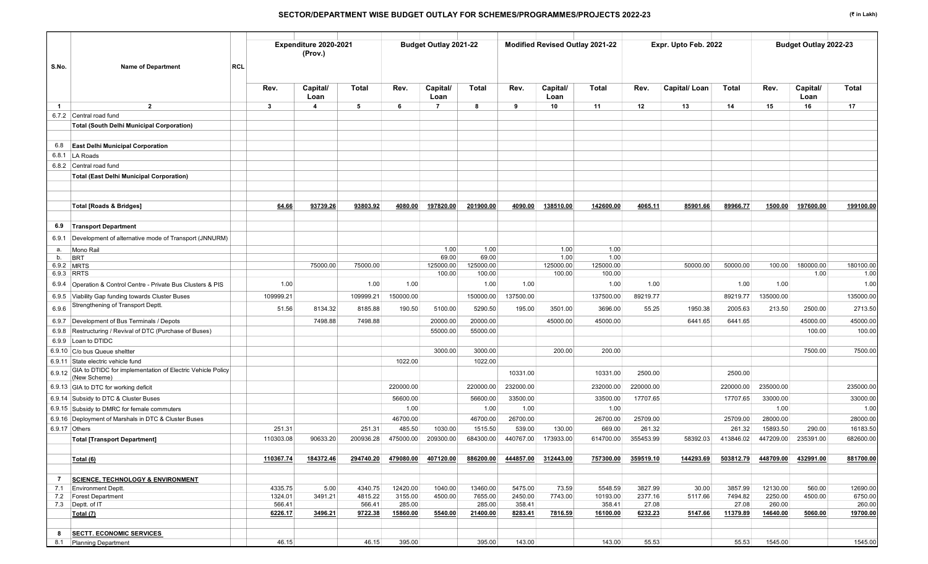| S.No.<br><b>Name of Department</b>                                                   | <b>RCL</b>        | Expenditure 2020-2021<br>(Prov.) |                   |                    | Budget Outlay 2021-22 |                     |                   |                     | Modified Revised Outlay 2021-22 |                  | Expr. Upto Feb. 2022 |                   |                    | Budget Outlay 2022-23 |                    |
|--------------------------------------------------------------------------------------|-------------------|----------------------------------|-------------------|--------------------|-----------------------|---------------------|-------------------|---------------------|---------------------------------|------------------|----------------------|-------------------|--------------------|-----------------------|--------------------|
|                                                                                      | Rev.              | Capital/<br>Loan                 | Total             | Rev.               | Capital/<br>Loan      | Total               | Rev.              | Capital/<br>Loan    | Total                           | Rev.             | Capital/Loan         | Total             | Rev.               | Capital/<br>Loan      | <b>Total</b>       |
| $\overline{2}$<br>$\overline{1}$                                                     | $\mathbf{3}$      | $\overline{\mathbf{4}}$          | 5                 | 6                  | $\overline{7}$        | 8                   | 9                 | 10                  | 11                              | 12               | 13                   | 14                | 15                 | 16                    | 17                 |
| 6.7.2 Central road fund                                                              |                   |                                  |                   |                    |                       |                     |                   |                     |                                 |                  |                      |                   |                    |                       |                    |
| <b>Total (South Delhi Municipal Corporation)</b>                                     |                   |                                  |                   |                    |                       |                     |                   |                     |                                 |                  |                      |                   |                    |                       |                    |
| <b>East Delhi Municipal Corporation</b><br>6.8                                       |                   |                                  |                   |                    |                       |                     |                   |                     |                                 |                  |                      |                   |                    |                       |                    |
| 6.8.1 LA Roads                                                                       |                   |                                  |                   |                    |                       |                     |                   |                     |                                 |                  |                      |                   |                    |                       |                    |
| 6.8.2 Central road fund                                                              |                   |                                  |                   |                    |                       |                     |                   |                     |                                 |                  |                      |                   |                    |                       |                    |
| <b>Total (East Delhi Municipal Corporation)</b>                                      |                   |                                  |                   |                    |                       |                     |                   |                     |                                 |                  |                      |                   |                    |                       |                    |
|                                                                                      |                   |                                  |                   |                    |                       |                     |                   |                     |                                 |                  |                      |                   |                    |                       |                    |
| <b>Total [Roads &amp; Bridges]</b>                                                   | 64.66             | 93739.26                         | 93803.92          | 4080.00            | 197820.00             | 201900.00           | 4090.00           | 138510.00           | 142600.00                       | 4065.11          | 85901.66             | 89966.77          | 1500.00            | 197600.00             | 199100.00          |
| <b>Transport Department</b><br>6.9                                                   |                   |                                  |                   |                    |                       |                     |                   |                     |                                 |                  |                      |                   |                    |                       |                    |
| 6.9.1 Development of alternative mode of Transport (JNNURM)                          |                   |                                  |                   |                    |                       |                     |                   |                     |                                 |                  |                      |                   |                    |                       |                    |
| Mono Rail<br>а.                                                                      |                   |                                  |                   |                    | 1.00                  | 1.00                |                   | 1.00                | 1.00                            |                  |                      |                   |                    |                       |                    |
| b.<br><b>BRT</b>                                                                     |                   |                                  |                   |                    | 69.00                 | 69.00               |                   | 1.00                | 1.00                            |                  |                      |                   |                    |                       |                    |
| 6.9.2 MRTS<br>6.9.3 RRTS                                                             |                   | 75000.00                         | 75000.00          |                    | 125000.00<br>100.00   | 125000.00<br>100.00 |                   | 125000.00<br>100.00 | 125000.00<br>100.00             |                  | 50000.00             | 50000.00          | 100.00             | 180000.00<br>1.00     | 180100.00<br>1.00  |
| 6.9.4 Operation & Control Centre - Private Bus Clusters & PIS                        | 1.00              |                                  | 1.00              | 1.00               |                       | 1.00                | 1.00              |                     | 1.00                            | 1.00             |                      | 1.00              | 1.00               |                       | 1.00               |
| Viability Gap funding towards Cluster Buses<br>6.9.5                                 | 109999.21         |                                  | 109999.21         | 150000.00          |                       | 150000.00           | 137500.00         |                     | 137500.00                       | 89219.77         |                      | 89219.77          | 135000.00          |                       | 135000.00          |
| Strengthening of Transport Deptt.<br>6.9.6                                           | 51.56             | 8134.32                          | 8185.88           | 190.50             | 5100.00               | 5290.50             | 195.00            | 3501.00             | 3696.00                         | 55.25            | 1950.38              | 2005.63           | 213.50             | 2500.00               | 2713.50            |
| 6.9.7 Development of Bus Terminals / Depots                                          |                   | 7498.88                          | 7498.88           |                    | 20000.00              | 20000.00            |                   | 45000.00            | 45000.00                        |                  | 6441.65              | 6441.65           |                    | 45000.00              | 45000.00           |
| 6.9.8 Restructuring / Revival of DTC (Purchase of Buses)                             |                   |                                  |                   |                    | 55000.00              | 55000.00            |                   |                     |                                 |                  |                      |                   |                    | 100.00                | 100.00             |
| 6.9.9 Loan to DTIDC                                                                  |                   |                                  |                   |                    |                       |                     |                   |                     |                                 |                  |                      |                   |                    |                       |                    |
| 6.9.10 C/o bus Queue sheltter                                                        |                   |                                  |                   |                    | 3000.00               | 3000.00             |                   | 200.00              | 200.00                          |                  |                      |                   |                    | 7500.00               | 7500.00            |
| 6.9.11 State electric vehicle fund                                                   |                   |                                  |                   | 1022.00            |                       | 1022.00             |                   |                     |                                 |                  |                      |                   |                    |                       |                    |
| GIA to DTIDC for implementation of Electric Vehicle Policy<br>6.9.12<br>(New Scheme) |                   |                                  |                   |                    |                       |                     | 10331.00          |                     | 10331.00                        | 2500.00          |                      | 2500.00           |                    |                       |                    |
| 6.9.13 GIA to DTC for working deficit                                                |                   |                                  |                   | 220000.00          |                       | 220000.00           | 232000.00         |                     | 232000.00                       | 220000.00        |                      | 220000.00         | 235000.00          |                       | 235000.00          |
| 6.9.14 Subsidy to DTC & Cluster Buses                                                |                   |                                  |                   | 56600.00           |                       | 56600.00            | 33500.00          |                     | 33500.00                        | 17707.65         |                      | 17707.65          | 33000.00           |                       | 33000.00           |
| 6.9.15 Subsidy to DMRC for female commuters                                          |                   |                                  |                   | 1.00               |                       | 1.00                | 1.00              |                     | 1.00                            |                  |                      |                   | 1.00               |                       | 1.00               |
| 6.9.16 Deployment of Marshals in DTC & Cluster Buses                                 |                   |                                  |                   | 46700.00           |                       | 46700.00            | 26700.00          |                     | 26700.00                        | 25709.00         |                      | 25709.00          | 28000.00           |                       | 28000.00           |
| 6.9.17 Others                                                                        | 251.31            |                                  | 251.31            | 485.50             | 1030.00               | 1515.50             | 539.00            | 130.00              | 669.00                          | 261.32           |                      | 261.32            | 15893.50           | 290.00                | 16183.50           |
| <b>Total [Transport Department]</b>                                                  | 110303.08         | 90633.20                         | 200936.28         | 475000.00          | 209300.00             | 684300.00           | 440767.00         | 173933.00           | 614700.00                       | 355453.99        | 58392.03             | 413846.02         | 447209.00          | 235391.00             | 682600.00          |
|                                                                                      |                   |                                  |                   |                    |                       |                     |                   |                     |                                 |                  |                      |                   |                    |                       |                    |
| Total (6)                                                                            | 110367.74         | 184372.46                        | 294740.20         | 479080.00          | 407120.00             | 886200.00           | 444857.00         | 312443.00           | 757300.00                       | 359519.10        | 144293.69            | 503812.79         | 448709.00          | 432991.00             | 881700.00          |
| <b>SCIENCE, TECHNOLOGY &amp; ENVIRONMENT</b><br>7                                    |                   |                                  |                   |                    |                       |                     |                   |                     |                                 |                  |                      |                   |                    |                       |                    |
| 7.1 Environment Deptt.                                                               | 4335.75           | 5.00                             | 4340.75           | 12420.00           | 1040.00               | 13460.00            | 5475.00           | 73.59               | 5548.59                         | 3827.99          | 30.00                | 3857.99           | 12130.00           | 560.00                | 12690.00           |
| 7.2 Forest Department                                                                | 1324.01           | 3491.21                          | 4815.22           | 3155.00            | 4500.00               | 7655.00             | 2450.00           | 7743.00             | 10193.00                        | 2377.16          | 5117.66              | 7494.82           | 2250.00            | 4500.00               | 6750.00            |
| 7.3 Deptt. of IT<br>Total (7)                                                        | 566.41<br>6226.17 | 3496.21                          | 566.41<br>9722.38 | 285.00<br>15860.00 | 5540.00               | 285.00<br>21400.00  | 358.41<br>8283.41 | 7816.59             | 358.41<br>16100.00              | 27.08<br>6232.23 | 5147.66              | 27.08<br>11379.89 | 260.00<br>14640.00 | 5060.00               | 260.00<br>19700.00 |
|                                                                                      |                   |                                  |                   |                    |                       |                     |                   |                     |                                 |                  |                      |                   |                    |                       |                    |
| 8<br><b>SECTT. ECONOMIC SERVICES</b>                                                 |                   |                                  |                   |                    |                       |                     |                   |                     |                                 |                  |                      |                   |                    |                       |                    |
| 8.1 Planning Department                                                              | 46.15             |                                  | 46.15             | 395.00             |                       | 395.00              | 143.00            |                     | 143.00                          | 55.53            |                      | 55.53             | 1545.00            |                       | 1545.00            |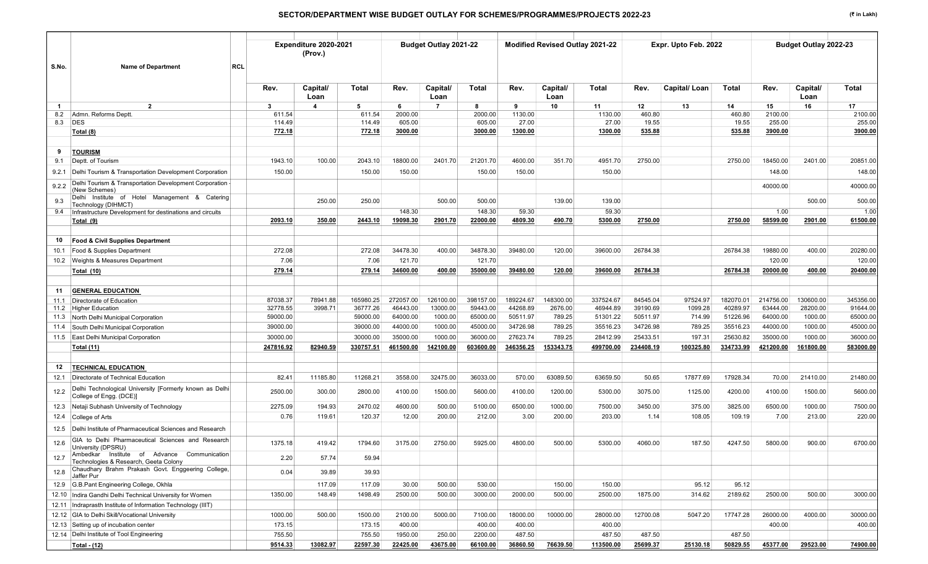|                                                                                              |            | Expenditure 2020-2021<br>(Prov.) |           |           | <b>Budget Outlay 2021-22</b> |           |           | <b>Modified Revised Outlay 2021-22</b> |           |           | Expr. Upto Feb. 2022 |           |           | <b>Budget Outlay 2022-23</b> |           |
|----------------------------------------------------------------------------------------------|------------|----------------------------------|-----------|-----------|------------------------------|-----------|-----------|----------------------------------------|-----------|-----------|----------------------|-----------|-----------|------------------------------|-----------|
| S.No.<br><b>Name of Department</b>                                                           | <b>RCL</b> |                                  |           |           |                              |           |           |                                        |           |           |                      |           |           |                              |           |
|                                                                                              | Rev.       | Capital/<br>Loan                 | Total     | Rev.      | Capital/<br>Loan             | Total     | Rev.      | Capital/<br>Loan                       | Total     | Rev.      | Capital/Loan         | Total     | Rev.      | Capital/<br>Loan             | Total     |
| $\overline{2}$<br>-1                                                                         | 3          | $\overline{\mathbf{4}}$          | 5         | - 6       | $\overline{7}$               | 8         | 9         | 10                                     | 11        | 12        | 13                   | 14        | 15        | 16                           | 17        |
| Admn. Reforms Deptt.<br>8.2                                                                  | 611.54     |                                  | 611.54    | 2000.00   |                              | 2000.00   | 1130.00   |                                        | 1130.00   | 460.80    |                      | 460.80    | 2100.00   |                              | 2100.00   |
| 8.3<br><b>DES</b>                                                                            | 114.49     |                                  | 114.49    | 605.00    |                              | 605.00    | 27.00     |                                        | 27.00     | 19.55     |                      | 19.55     | 255.00    |                              | 255.00    |
| Total (8)                                                                                    | 772.18     |                                  | 772.18    | 3000.00   |                              | 3000.00   | 1300.00   |                                        | 1300.00   | 535.88    |                      | 535.88    | 3900.00   |                              | 3900.00   |
| <b>TOURISM</b><br>-9                                                                         |            |                                  |           |           |                              |           |           |                                        |           |           |                      |           |           |                              |           |
| Deptt. of Tourism<br>9.1                                                                     | 1943.10    | 100.00                           | 2043.10   | 18800.00  | 2401.70                      | 21201.70  | 4600.00   | 351.70                                 | 4951.70   | 2750.00   |                      | 2750.00   | 18450.00  | 2401.00                      | 20851.00  |
| Delhi Tourism & Transportation Development Corporation<br>9.2.1                              | 150.00     |                                  | 150.00    | 150.00    |                              | 150.00    | 150.00    |                                        | 150.00    |           |                      |           | 148.00    |                              | 148.00    |
| Delhi Tourism & Transportation Development Corporation<br>9.2.2<br>(New Schemes)             |            |                                  |           |           |                              |           |           |                                        |           |           |                      |           | 40000.00  |                              | 40000.00  |
| Delhi Institute of Hotel Management & Catering<br>9.3<br>Technology (DIHMCT)                 |            | 250.00                           | 250.00    |           | 500.00                       | 500.00    |           | 139.00                                 | 139.00    |           |                      |           |           | 500.00                       | 500.00    |
| Infrastructure Development for destinations and circuits<br>9.4                              |            |                                  |           | 148.30    |                              | 148.30    | 59.30     |                                        | 59.30     |           |                      |           | 1.00      |                              | 1.00      |
| Total (9)                                                                                    | 2093.10    | 350.00                           | 2443.10   | 19098.30  | 2901.70                      | 22000.00  | 4809.30   | 490.70                                 | 5300.00   | 2750.00   |                      | 2750.00   | 58599.00  | 2901.00                      | 61500.00  |
| Food & Civil Supplies Department<br>10                                                       |            |                                  |           |           |                              |           |           |                                        |           |           |                      |           |           |                              |           |
| Food & Supplies Department<br>10.1                                                           | 272.08     |                                  | 272.08    | 34478.30  | 400.00                       | 34878.30  | 39480.00  | 120.00                                 | 39600.00  | 26784.38  |                      | 26784.38  | 19880.00  | 400.00                       | 20280.00  |
| 10.2 Weights & Measures Department                                                           | 7.06       |                                  | 7.06      | 121.70    |                              | 121.70    |           |                                        |           |           |                      |           | 120.00    |                              | 120.00    |
| Total (10)                                                                                   | 279.14     |                                  | 279.14    | 34600.00  | 400.00                       | 35000.00  | 39480.00  | 120.00                                 | 39600.00  | 26784.38  |                      | 26784.38  | 20000.00  | 400.00                       | 20400.00  |
|                                                                                              |            |                                  |           |           |                              |           |           |                                        |           |           |                      |           |           |                              |           |
| <b>GENERAL EDUCATION</b><br>11                                                               |            |                                  |           |           |                              |           |           |                                        |           |           |                      |           |           |                              |           |
| Directorate of Education<br>11.1                                                             | 87038.37   | 78941.88                         | 165980.25 | 272057.00 | 126100.00                    | 398157.00 | 189224.67 | 148300.00                              | 337524.67 | 84545.04  | 97524.97             | 182070.01 | 214756.00 | 130600.00                    | 345356.00 |
| 11.2 Higher Education                                                                        | 32778.55   | 3998.71                          | 36777.26  | 46443.00  | 13000.00                     | 59443.00  | 44268.89  | 2676.00                                | 46944.89  | 39190.69  | 1099.28              | 40289.97  | 63444.00  | 28200.00                     | 91644.00  |
| North Delhi Municipal Corporation<br>11.3                                                    | 59000.00   |                                  | 59000.00  | 64000.00  | 1000.00                      | 65000.00  | 50511.97  | 789.25                                 | 51301.22  | 50511.97  | 714.99               | 51226.96  | 64000.00  | 1000.00                      | 65000.00  |
| South Delhi Municipal Corporation<br>11.4                                                    | 39000.00   |                                  | 39000.00  | 44000.00  | 1000.00                      | 45000.00  | 34726.98  | 789.25                                 | 35516.23  | 34726.98  | 789.25               | 35516.23  | 44000.00  | 1000.00                      | 45000.00  |
| 11.5 East Delhi Municipal Corporation                                                        | 30000.00   |                                  | 30000.00  | 35000.00  | 1000.00                      | 36000.00  | 27623.74  | 789.25                                 | 28412.99  | 25433.51  | 197.31               | 25630.82  | 35000.00  | 1000.00                      | 36000.00  |
| <b>Total (11)</b>                                                                            | 247816.92  | 82940.59                         | 330757.51 | 461500.00 | 142100.00                    | 603600.00 | 346356.25 | 153343.75                              | 499700.00 | 234408.19 | 100325.80            | 334733.99 | 421200.00 | 161800.00                    | 583000.00 |
| <b>TECHNICAL EDUCATION</b><br>12                                                             |            |                                  |           |           |                              |           |           |                                        |           |           |                      |           |           |                              |           |
| Directorate of Technical Education<br>12.1                                                   | 82.41      | 11185.80                         | 11268.21  | 3558.00   | 32475.00                     | 36033.00  | 570.00    | 63089.50                               | 63659.50  | 50.65     | 17877.69             | 17928.34  | 70.00     | 21410.00                     | 21480.00  |
| Delhi Technological University [Formerly known as Delhi<br>12.2<br>College of Engg. (DCE)]   | 2500.00    | 300.00                           | 2800.00   | 4100.00   | 1500.00                      | 5600.00   | 4100.00   | 1200.00                                | 5300.00   | 3075.00   | 1125.00              | 4200.00   | 4100.00   | 1500.00                      | 5600.00   |
| 12.3 Netaji Subhash University of Technology                                                 | 2275.09    | 194.93                           | 2470.02   | 4600.00   | 500.00                       | 5100.00   | 6500.00   | 1000.00                                | 7500.00   | 3450.00   | 375.00               | 3825.00   | 6500.00   | 1000.00                      | 7500.00   |
| 12.4 College of Arts                                                                         | 0.76       | 119.61                           | 120.37    | 12.00     | 200.00                       | 212.00    | 3.00      | 200.00                                 | 203.00    | 1.14      | 108.05               | 109.19    | 7.00      | 213.00                       | 220.00    |
| 12.5 Delhi Institute of Pharmaceutical Sciences and Research                                 |            |                                  |           |           |                              |           |           |                                        |           |           |                      |           |           |                              |           |
| GIA to Delhi Pharmaceutical Sciences and Research<br>12.6<br>University (DPSRU)              | 1375.18    | 419.42                           | 1794.60   | 3175.00   | 2750.00                      | 5925.00   | 4800.00   | 500.00                                 | 5300.00   | 4060.00   | 187.50               | 4247.50   | 5800.00   | 900.00                       | 6700.00   |
| Ambedkar Institute of Advance Communication<br>12.7<br>Technologies & Research, Geeta Colony | 2.20       | 57.74                            | 59.94     |           |                              |           |           |                                        |           |           |                      |           |           |                              |           |
| Chaudhary Brahm Prakash Govt. Enggeering College,<br>12.8<br>Jaffer Pur                      | 0.04       | 39.89                            | 39.93     |           |                              |           |           |                                        |           |           |                      |           |           |                              |           |
| 12.9 G.B.Pant Engineering College, Okhla                                                     |            | 117.09                           | 117.09    | 30.00     | 500.00                       | 530.00    |           | 150.00                                 | 150.00    |           | 95.12                | 95.12     |           |                              |           |
| 12.10 Indira Gandhi Delhi Technical University for Women                                     | 1350.00    | 148.49                           | 1498.49   | 2500.00   | 500.00                       | 3000.00   | 2000.00   | 500.00                                 | 2500.00   | 1875.00   | 314.62               | 2189.62   | 2500.00   | 500.00                       | 3000.00   |
| 12.11   Indraprasth Institute of Information Technology (IIIT)                               |            |                                  |           |           |                              |           |           |                                        |           |           |                      |           |           |                              |           |
| 12.12 GIA to Delhi Skill/Vocational University                                               | 1000.00    | 500.00                           | 1500.00   | 2100.00   | 5000.00                      | 7100.00   | 18000.00  | 10000.00                               | 28000.00  | 12700.08  | 5047.20              | 17747.28  | 26000.00  | 4000.00                      | 30000.00  |
| 12.13 Setting up of incubation center                                                        | 173.15     |                                  | 173.15    | 400.00    |                              | 400.00    | 400.00    |                                        | 400.00    |           |                      |           | 400.00    |                              | 400.00    |
| 12.14 Delhi Institute of Tool Engineering                                                    | 755.50     |                                  | 755.50    | 1950.00   | 250.00                       | 2200.00   | 487.50    |                                        | 487.50    | 487.50    |                      | 487.50    |           |                              |           |
| Total - (12)                                                                                 | 9514.33    | 13082.97                         | 22597.30  | 22425.00  | 43675.00                     | 66100.00  | 36860.50  | 76639.50                               | 113500.00 | 25699.37  | 25130.18             | 50829.55  | 45377.00  | 29523.00                     | 74900.00  |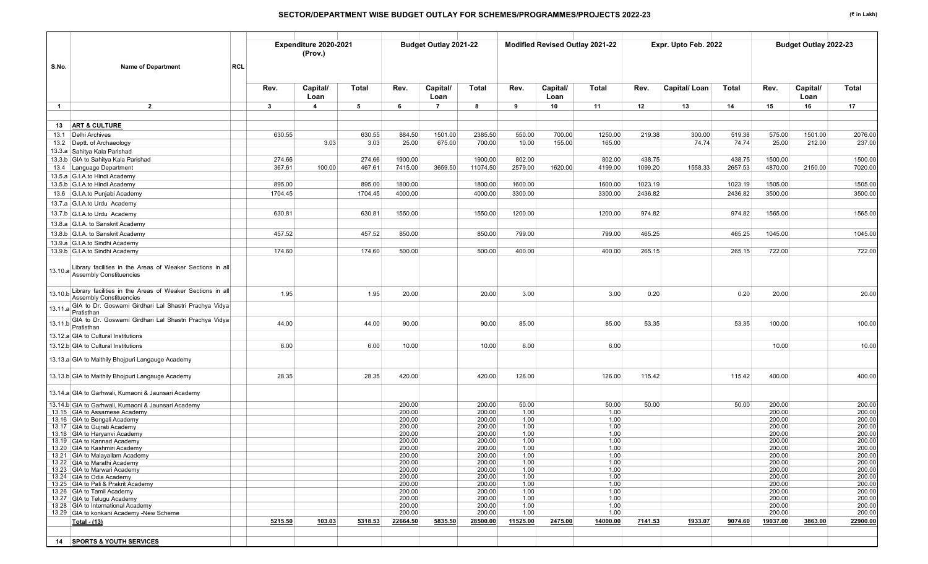| S.No.<br><b>Name of Department</b>                                                                  | <b>RCL</b>       | Expenditure 2020-2021<br>(Prov.) |                  |                    | Budget Outlay 2021-22  |                     |                   |            | Modified Revised Outlay 2021-22 |                   | Expr. Upto Feb. 2022 |                   |                    | Budget Outlay 2022-23 |                    |
|-----------------------------------------------------------------------------------------------------|------------------|----------------------------------|------------------|--------------------|------------------------|---------------------|-------------------|------------|---------------------------------|-------------------|----------------------|-------------------|--------------------|-----------------------|--------------------|
|                                                                                                     | Rev.             | Capital/<br>Loan                 | Total            | Rev.               | Capital/               | Total               | Rev.              | Capital/   | Total                           | Rev.              | Capital/Loan         | Total             | Rev.               | Capital/<br>Loan      | <b>Total</b>       |
| $\overline{2}$<br>$\overline{1}$                                                                    | 3                | $\overline{4}$                   | 5                | 6                  | Loan<br>$\overline{7}$ | 8                   | 9                 | Loan<br>10 | 11                              | 12                | 13                   | 14                | 15                 | 16                    | 17                 |
|                                                                                                     |                  |                                  |                  |                    |                        |                     |                   |            |                                 |                   |                      |                   |                    |                       |                    |
| <b>ART &amp; CULTURE</b><br>13                                                                      |                  |                                  |                  |                    |                        |                     |                   |            |                                 |                   |                      |                   |                    |                       |                    |
| 13.1 Delhi Archives                                                                                 | 630.55           |                                  | 630.55           | 884.50             | 1501.00                | 2385.50             | 550.00            | 700.00     | 1250.00                         | 219.38            | 300.00               | 519.38            | 575.00             | 1501.00               | 2076.00            |
| 13.2 Deptt. of Archaeology                                                                          |                  | 3.03                             | 3.03             | 25.00              | 675.00                 | 700.00              | 10.00             | 155.00     | 165.00                          |                   | 74.74                | 74.74             | 25.00              | 212.00                | 237.00             |
| 13.3.a Sahitya Kala Parishad                                                                        |                  |                                  |                  |                    |                        |                     |                   |            |                                 |                   |                      |                   |                    |                       |                    |
| 13.3.b GIA to Sahitya Kala Parishad<br>13.4 Language Department                                     | 274.66<br>367.61 | 100.00                           | 274.66<br>467.61 | 1900.00<br>7415.00 | 3659.50                | 1900.00<br>11074.50 | 802.00<br>2579.00 | 1620.00    | 802.00<br>4199.00               | 438.75<br>1099.20 | 1558.33              | 438.75<br>2657.53 | 1500.00<br>4870.00 | 2150.00               | 1500.00<br>7020.00 |
| 13.5.a G.I.A.to Hindi Academy                                                                       |                  |                                  |                  |                    |                        |                     |                   |            |                                 |                   |                      |                   |                    |                       |                    |
| 13.5.b G.I.A.to Hindi Academy                                                                       | 895.00           |                                  | 895.00           | 1800.00            |                        | 1800.00             | 1600.00           |            | 1600.00                         | 1023.19           |                      | 1023.19           | 1505.00            |                       | 1505.00            |
| 13.6 G.I.A.to Punjabi Academy                                                                       | 1704.45          |                                  | 1704.45          | 4000.00            |                        | 4000.00             | 3300.00           |            | 3300.00                         | 2436.82           |                      | 2436.82           | 3500.00            |                       | 3500.00            |
| 13.7.a G.I.A.to Urdu Academy                                                                        |                  |                                  |                  |                    |                        |                     |                   |            |                                 |                   |                      |                   |                    |                       |                    |
| 13.7.b G.I.A.to Urdu Academy                                                                        | 630.81           |                                  | 630.81           | 1550.00            |                        | 1550.00             | 1200.00           |            | 1200.00                         | 974.82            |                      | 974.82            | 1565.00            |                       | 1565.00            |
| 13.8.a G.I.A. to Sanskrit Academy                                                                   |                  |                                  |                  |                    |                        |                     |                   |            |                                 |                   |                      |                   |                    |                       |                    |
| 13.8.b G.I.A. to Sanskrit Academy                                                                   | 457.52           |                                  | 457.52           | 850.00             |                        | 850.00              | 799.00            |            | 799.00                          | 465.25            |                      | 465.25            | 1045.00            |                       | 1045.00            |
| 13.9.a G.I.A.to Sindhi Academy                                                                      |                  |                                  |                  |                    |                        |                     |                   |            |                                 |                   |                      |                   |                    |                       |                    |
| 13.9.b G.I.A.to Sindhi Academy                                                                      | 174.60           |                                  | 174.60           | 500.00             |                        | 500.00              | 400.00            |            | 400.00                          | 265.15            |                      | 265.15            | 722.00             |                       | 722.00             |
| 13.10.a Library facilities in the Areas of Weaker Sections in all<br><b>Assembly Constituencies</b> |                  |                                  |                  |                    |                        |                     |                   |            |                                 |                   |                      |                   |                    |                       |                    |
| 13.10.b Library facilities in the Areas of Weaker Sections in all<br><b>Assembly Constituencies</b> | 1.95             |                                  | 1.95             | 20.00              |                        | 20.00               | 3.00              |            | 3.00                            | 0.20              |                      | 0.20              | 20.00              |                       | 20.00              |
| 13.11.a GIA to Dr. Goswami Girdhari Lal Shastri Prachya Vidya                                       |                  |                                  |                  |                    |                        |                     |                   |            |                                 |                   |                      |                   |                    |                       |                    |
| GIA to Dr. Goswami Girdhari Lal Shastri Prachya Vidya<br>$13.11.b$ Pratisthan                       | 44.00            |                                  | 44.00            | 90.00              |                        | 90.00               | 85.00             |            | 85.00                           | 53.35             |                      | 53.35             | 100.00             |                       | 100.00             |
| 13.12.a GIA to Cultural Institutions                                                                |                  |                                  |                  |                    |                        |                     |                   |            |                                 |                   |                      |                   |                    |                       |                    |
| 13.12.b GIA to Cultural Institutions                                                                | 6.00             |                                  | 6.00             | 10.00              |                        | 10.00               | 6.00              |            | 6.00                            |                   |                      |                   | 10.00              |                       | 10.00              |
| 13.13.a GIA to Maithily Bhojpuri Langauge Academy                                                   |                  |                                  |                  |                    |                        |                     |                   |            |                                 |                   |                      |                   |                    |                       |                    |
| 13.13.b GIA to Maithily Bhojpuri Langauge Academy                                                   | 28.35            |                                  | 28.35            | 420.00             |                        | 420.00              | 126.00            |            | 126.00                          | 115.42            |                      | 115.42            | 400.00             |                       | 400.00             |
| 13.14.a GIA to Garhwali, Kumaoni & Jaunsari Academy                                                 |                  |                                  |                  |                    |                        |                     |                   |            |                                 |                   |                      |                   |                    |                       |                    |
| 13.14.b GIA to Garhwali, Kumaoni & Jaunsari Academy                                                 |                  |                                  |                  | 200.00             |                        | 200.00              | 50.00             |            | 50.00                           | 50.00             |                      | 50.00             | 200.00             |                       | 200.00             |
| 13.15 GIA to Assamese Academy<br>13.16 GIA to Bengali Academy                                       |                  |                                  |                  | 200.00<br>200.00   |                        | 200.00<br>200.00    | 1.00<br>1.00      |            | 1.00<br>1.00                    |                   |                      |                   | 200.00<br>200.00   |                       | 200.00<br>200.00   |
| 13.17 GIA to Guirati Academy                                                                        |                  |                                  |                  | 200.00             |                        | 200.00              | 1.00              |            | 1.00                            |                   |                      |                   | 200.00             |                       | 200.00             |
| 13.18 GIA to Haryanvi Academy                                                                       |                  |                                  |                  | 200.00             |                        | 200.00              | 1.00              |            | 1.00                            |                   |                      |                   | 200.00             |                       | 200.00             |
| 13.19 GIA to Kannad Academy<br>13.20 GIA to Kashmiri Academy                                        |                  |                                  |                  | 200.00<br>200.00   |                        | 200.00<br>200.00    | 1.00<br>1.00      |            | 1.00<br>1.00                    |                   |                      |                   | 200.00<br>200.00   |                       | 200.00<br>200.00   |
| 13.21 GIA to Malayallam Academy                                                                     |                  |                                  |                  | 200.00             |                        | 200.00              | 1.00              |            | 1.00                            |                   |                      |                   | 200.00             |                       | 200.00             |
| 13.22 GIA to Marathi Academy                                                                        |                  |                                  |                  | 200.00             |                        | 200.00              | 1.00              |            | 1.00                            |                   |                      |                   | 200.00             |                       | 200.00             |
| 13.23 GIA to Marwari Academy<br>13.24 GIA to Odia Academy                                           |                  |                                  |                  | 200.00<br>200.00   |                        | 200.00<br>200.00    | 1.00<br>1.00      |            | 1.00<br>1.00                    |                   |                      |                   | 200.00<br>200.00   |                       | 200.00<br>200.00   |
| 13.25 GIA to Pali & Prakrit Academy                                                                 |                  |                                  |                  | 200.00             |                        | 200.00              | 1.00              |            | 1.00                            |                   |                      |                   | 200.00             |                       | 200.00             |
| 13.26 GIA to Tamil Academy                                                                          |                  |                                  |                  | 200.00             |                        | 200.00              | 1.00              |            | 1.00                            |                   |                      |                   | 200.00             |                       | 200.00             |
| 13.27 GIA to Telugu Academy<br>13.28 GIA to International Academy                                   |                  |                                  |                  | 200.00<br>200.00   |                        | 200.00<br>200.00    | 1.00<br>1.00      |            | 1.00<br>1.00                    |                   |                      |                   | 200.00<br>200.00   |                       | 200.00<br>200.00   |
| 13.29 GIA to konkani Academy -New Scheme                                                            |                  |                                  |                  | 200.00             |                        | 200.00              | 1.00              |            | 1.00                            |                   |                      |                   | 200.00             |                       | 200.00             |
| Total - (13)                                                                                        | 5215.50          | 103.03                           | 5318.53          | 22664.50           | 5835.50                | 28500.00            | 11525.00          | 2475.00    | 14000.00                        | 7141.53           | 1933.07              | 9074.60           | 19037.00           | 3863.00               | 22900.00           |
|                                                                                                     |                  |                                  |                  |                    |                        |                     |                   |            |                                 |                   |                      |                   |                    |                       |                    |
| 14 SPORTS & YOUTH SERVICES                                                                          |                  |                                  |                  |                    |                        |                     |                   |            |                                 |                   |                      |                   |                    |                       |                    |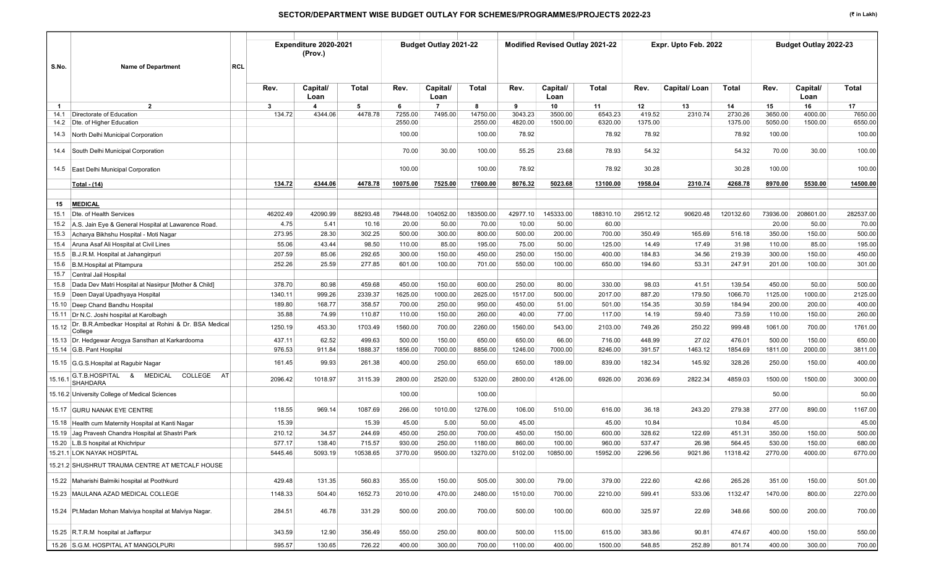| S.No.   | <b>Name of Department</b>                                        | <b>RCL</b> |          | Expenditure 2020-2021<br>(Prov.) |          |          | <b>Budget Outlay 2021-22</b> |           |          | Modified Revised Outlay 2021-22 |           |          | Expr. Upto Feb. 2022 |           |          | Budget Outlay 2022-23 |              |
|---------|------------------------------------------------------------------|------------|----------|----------------------------------|----------|----------|------------------------------|-----------|----------|---------------------------------|-----------|----------|----------------------|-----------|----------|-----------------------|--------------|
|         |                                                                  |            |          |                                  |          |          |                              |           |          |                                 |           |          |                      |           |          |                       |              |
|         |                                                                  |            | Rev.     | Capital/<br>Loan                 | Total    | Rev.     | Capital/<br>Loan             | Total     | Rev.     | Capital/<br>Loan                | Total     | Rev.     | Capital/Loan         | Total     | Rev.     | Capital/<br>Loan      | <b>Total</b> |
| -1      | $\overline{2}$                                                   |            | 3        | 4                                | 5        | 6        | $\overline{7}$               | 8         | 9        | 10                              | 11        | 12       | 13                   | 14        | 15       | 16                    | 17           |
| 14.1    | Directorate of Education                                         |            | 134.72   | 4344.06                          | 4478.78  | 7255.00  | 7495.00                      | 14750.00  | 3043.23  | 3500.00                         | 6543.23   | 419.52   | 2310.74              | 2730.26   | 3650.00  | 4000.00               | 7650.00      |
|         | 14.2 Dte. of Higher Education                                    |            |          |                                  |          | 2550.00  |                              | 2550.00   | 4820.00  | 1500.00                         | 6320.00   | 1375.00  |                      | 1375.00   | 5050.00  | 1500.00               | 6550.00      |
|         | 14.3 North Delhi Municipal Corporation                           |            |          |                                  |          | 100.00   |                              | 100.00    | 78.92    |                                 | 78.92     | 78.92    |                      | 78.92     | 100.00   |                       | 100.00       |
| 14.4    | South Delhi Municipal Corporation                                |            |          |                                  |          | 70.00    | 30.00                        | 100.00    | 55.25    | 23.68                           | 78.93     | 54.32    |                      | 54.32     | 70.00    | 30.00                 | 100.00       |
|         | 14.5 East Delhi Municipal Corporation                            |            |          |                                  |          | 100.00   |                              | 100.00    | 78.92    |                                 | 78.92     | 30.28    |                      | 30.28     | 100.00   |                       | 100.00       |
|         | <u>Total - (14)</u>                                              |            | 134.72   | 4344.06                          | 4478.78  | 10075.00 | 7525.00                      | 17600.00  | 8076.32  | 5023.68                         | 13100.00  | 1958.04  | 2310.74              | 4268.78   | 8970.00  | 5530.00               | 14500.00     |
|         |                                                                  |            |          |                                  |          |          |                              |           |          |                                 |           |          |                      |           |          |                       |              |
| 15      | <b>MEDICAL</b>                                                   |            |          |                                  |          |          |                              |           |          |                                 |           |          |                      |           |          |                       |              |
| 15.1    | Dte. of Health Services                                          |            | 46202.49 | 42090.99                         | 88293.48 | 79448.00 | 104052.00                    | 183500.00 | 42977.10 | 145333.00                       | 188310.10 | 29512.12 | 90620.48             | 120132.60 | 73936.00 | 208601.00             | 282537.00    |
|         | 15.2 A.S. Jain Eye & General Hospital at Lawarence Road.         |            | 4.75     | 5.41                             | 10.16    | 20.00    | 50.00                        | 70.00     | 10.00    | 50.00                           | 60.00     |          |                      |           | 20.00    | 50.00                 | 70.00        |
| 15.3    | Acharya Bikhshu Hospital - Moti Nagar                            |            | 273.95   | 28.30                            | 302.25   | 500.00   | 300.00                       | 800.00    | 500.00   | 200.00                          | 700.00    | 350.49   | 165.69               | 516.18    | 350.00   | 150.00                | 500.00       |
| 15.4    | Aruna Asaf Ali Hospital at Civil Lines                           |            | 55.06    | 43.44                            | 98.50    | 110.00   | 85.00                        | 195.00    | 75.00    | 50.00                           | 125.00    | 14.49    | 17.49                | 31.98     | 110.00   | 85.00                 | 195.00       |
| 15.5    | B.J.R.M. Hospital at Jahangirpuri                                |            | 207.59   | 85.06                            | 292.65   | 300.00   | 150.00                       | 450.00    | 250.00   | 150.00                          | 400.00    | 184.83   | 34.56                | 219.39    | 300.00   | 150.00                | 450.00       |
| 15.6    | B.M.Hospital at Pitampura                                        |            | 252.26   | 25.59                            | 277.85   | 601.00   | 100.00                       | 701.00    | 550.00   | 100.00                          | 650.00    | 194.60   | 53.31                | 247.91    | 201.00   | 100.00                | 301.00       |
| 15.7    | Central Jail Hospital                                            |            |          |                                  |          |          |                              |           |          |                                 |           |          |                      |           |          |                       |              |
| 15.8    | Dada Dev Matri Hospital at Nasirpur [Mother & Child]             |            | 378.70   | 80.98                            | 459.68   | 450.00   | 150.00                       | 600.00    | 250.00   | 80.00                           | 330.00    | 98.03    | 41.51                | 139.54    | 450.00   | 50.00                 | 500.00       |
| 15.9    | Deen Dayal Upadhyaya Hospital                                    |            | 1340.11  | 999.26                           | 2339.37  | 1625.00  | 1000.00                      | 2625.00   | 1517.00  | 500.00                          | 2017.00   | 887.20   | 179.50               | 1066.70   | 1125.00  | 1000.00               | 2125.00      |
| 15.10   | Deep Chand Bandhu Hospital                                       |            | 189.80   | 168.77                           | 358.57   | 700.00   | 250.00                       | 950.00    | 450.00   | 51.00                           | 501.00    | 154.35   | 30.59                | 184.94    | 200.00   | 200.00                | 400.00       |
| 15.11   | Dr N.C. Joshi hospital at Karolbagh                              |            | 35.88    | 74.99                            | 110.87   | 110.00   | 150.00                       | 260.00    | 40.00    | 77.00                           | 117.00    | 14.19    | 59.40                | 73.59     | 110.00   | 150.00                | 260.00       |
| 15.12   | Dr. B.R.Ambedkar Hospital at Rohini & Dr. BSA Medical<br>College |            | 1250.19  | 453.30                           | 1703.49  | 1560.00  | 700.00                       | 2260.00   | 1560.00  | 543.00                          | 2103.00   | 749.26   | 250.22               | 999.48    | 1061.00  | 700.00                | 1761.00      |
| 15.13   | Dr. Hedgewar Arogya Sansthan at Karkardooma                      |            | 437.11   | 62.52                            | 499.63   | 500.00   | 150.00                       | 650.00    | 650.00   | 66.00                           | 716.00    | 448.99   | 27.02                | 476.01    | 500.00   | 150.00                | 650.00       |
|         | 15.14 G.B. Pant Hospital                                         |            | 976.53   | 911.84                           | 1888.37  | 1856.00  | 7000.00                      | 8856.00   | 1246.00  | 7000.00                         | 8246.00   | 391.57   | 1463.12              | 1854.69   | 1811.00  | 2000.00               | 3811.00      |
|         | 15.15 G.G.S. Hospital at Ragubir Nagar<br>COLLEGE AT             |            | 161.45   | 99.93                            | 261.38   | 400.00   | 250.00                       | 650.00    | 650.00   | 189.00                          | 839.00    | 182.34   | 145.92               | 328.26    | 250.00   | 150.00                | 400.00       |
| 15.16.1 | G.T.B.HOSPITAL & MEDICAL<br>SHAHDARA                             |            | 2096.42  | 1018.97                          | 3115.39  | 2800.00  | 2520.00                      | 5320.00   | 2800.00  | 4126.00                         | 6926.00   | 2036.69  | 2822.34              | 4859.03   | 1500.00  | 1500.00               | 3000.00      |
|         | 15.16.2 University College of Medical Sciences                   |            |          |                                  |          | 100.00   |                              | 100.00    |          |                                 |           |          |                      |           | 50.00    |                       | 50.00        |
|         | 15.17 GURU NANAK EYE CENTRE                                      |            | 118.55   | 969.14                           | 1087.69  | 266.00   | 1010.00                      | 1276.00   | 106.00   | 510.00                          | 616.00    | 36.18    | 243.20               | 279.38    | 277.00   | 890.00                | 1167.00      |
|         | 15.18 Health cum Maternity Hospital at Kanti Nagar               |            | 15.39    |                                  | 15.39    | 45.00    | 5.00                         | 50.00     | 45.00    |                                 | 45.00     | 10.84    |                      | 10.84     | 45.00    |                       | 45.00        |
|         | 15.19 Jag Pravesh Chandra Hospital at Shastri Park               |            | 210.12   | 34.57                            | 244.69   | 450.00   | 250.00                       | 700.00    | 450.00   | 150.00                          | 600.00    | 328.62   | 122.69               | 451.31    | 350.00   | 150.00                | 500.00       |
|         | 15.20 L.B.S hospital at Khichripur                               |            | 577.17   | 138.40                           | 715.57   | 930.00   | 250.00                       | 1180.00   | 860.00   | 100.00                          | 960.00    | 537.47   | 26.98                | 564.45    | 530.00   | 150.00                | 680.00       |
|         | 15.21.1 LOK NAYAK HOSPITAL                                       |            | 5445.46  | 5093.19                          | 10538.65 | 3770.00  | 9500.00                      | 13270.00  | 5102.00  | 10850.00                        | 15952.00  | 2296.56  | 9021.86              | 11318.42  | 2770.00  | 4000.00               | 6770.00      |
|         | 15.21.2 SHUSHRUT TRAUMA CENTRE AT METCALF HOUSE                  |            |          |                                  |          |          |                              |           |          |                                 |           |          |                      |           |          |                       |              |
|         | 15.22 Maharishi Balmiki hospital at Poothkurd                    |            | 429.48   | 131.35                           | 560.83   | 355.00   | 150.00                       | 505.00    | 300.00   | 79.00                           | 379.00    | 222.60   | 42.66                | 265.26    | 351.00   | 150.00                | 501.00       |
|         | 15.23   MAULANA AZAD MEDICAL COLLEGE                             |            | 1148.33  | 504.40                           | 1652.73  | 2010.00  | 470.00                       | 2480.00   | 1510.00  | 700.00                          | 2210.00   | 599.41   | 533.06               | 1132.47   | 1470.00  | 800.00                | 2270.00      |
|         | 15.24 Pt.Madan Mohan Malviya hospital at Malviya Nagar.          |            | 284.51   | 46.78                            | 331.29   | 500.00   | 200.00                       | 700.00    | 500.00   | 100.00                          | 600.00    | 325.97   | 22.69                | 348.66    | 500.00   | 200.00                | 700.00       |
|         | 15.25 R.T.R.M hospital at Jaffarpur                              |            | 343.59   | 12.90                            | 356.49   | 550.00   | 250.00                       | 800.00    | 500.00   | 115.00                          | 615.00    | 383.86   | 90.81                | 474.67    | 400.00   | 150.00                | 550.00       |
|         | 15.26 S.G.M. HOSPITAL AT MANGOLPURI                              |            | 595.57   | 130.65                           | 726.22   | 400.00   | 300.00                       | 700.00    | 1100.00  | 400.00                          | 1500.00   | 548.85   | 252.89               | 801.74    | 400.00   | 300.00                | 700.00       |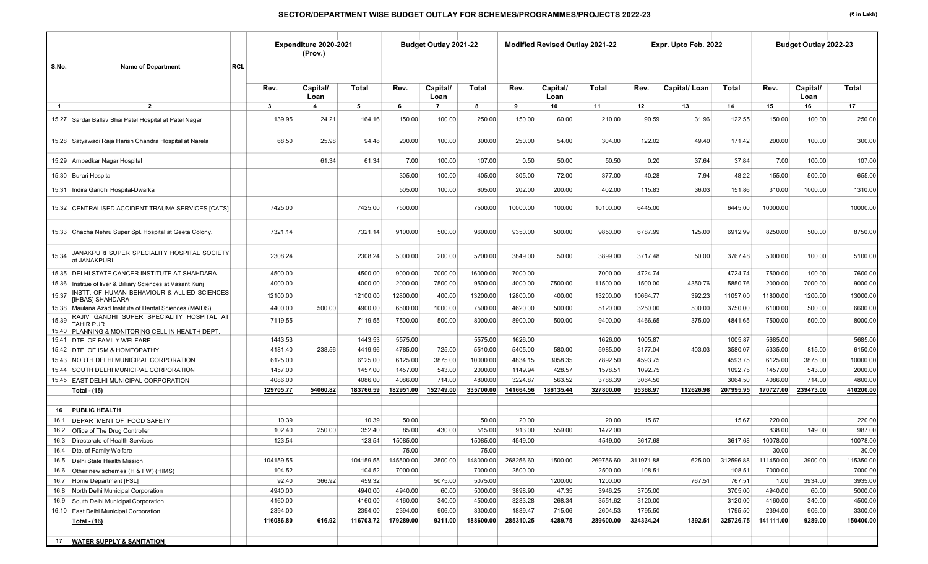| S.No.          | <b>Name of Department</b>                                           | RCL                | Expenditure 2020-2021<br>(Prov.) |                    |                    | <b>Budget Outlay 2021-22</b> |                     |                    | <b>Modified Revised Outlay 2021-22</b> |                    |                    | Expr. Upto Feb. 2022 |                    |                    | Budget Outlay 2022-23 |                     |
|----------------|---------------------------------------------------------------------|--------------------|----------------------------------|--------------------|--------------------|------------------------------|---------------------|--------------------|----------------------------------------|--------------------|--------------------|----------------------|--------------------|--------------------|-----------------------|---------------------|
|                |                                                                     | Rev.               | Capital/<br>Loan                 | Total              | Rev.               | Capital/<br>Loan             | Total               | Rev.               | Capital/<br>Loan                       | Total              | Rev.               | Capital/Loan         | Total              | Rev.               | Capital/<br>Loan      | Total               |
| $\overline{1}$ | $\overline{2}$                                                      | 3                  | $\boldsymbol{4}$                 | 5                  | 6                  | $\overline{7}$               | 8                   | 9                  | 10                                     | 11                 | 12                 | 13                   | 14                 | 15                 | 16                    | 17                  |
|                | 15.27 Sardar Ballav Bhai Patel Hospital at Patel Nagar              | 139.95             | 24.21                            | 164.16             | 150.00             | 100.00                       | 250.00              | 150.00             | 60.00                                  | 210.00             | 90.59              | 31.96                | 122.55             | 150.00             | 100.00                | 250.00              |
|                | 15.28 Satyawadi Raja Harish Chandra Hospital at Narela              | 68.50              | 25.98                            | 94.48              | 200.00             | 100.00                       | 300.00              | 250.00             | 54.00                                  | 304.00             | 122.02             | 49.40                | 171.42             | 200.00             | 100.00                | 300.00              |
|                | 15.29 Ambedkar Nagar Hospital                                       |                    | 61.34                            | 61.34              | 7.00               | 100.00                       | 107.00              | 0.50               | 50.00                                  | 50.50              | 0.20               | 37.64                | 37.84              | 7.00               | 100.00                | 107.00              |
|                | 15.30 Burari Hospital                                               |                    |                                  |                    | 305.00             | 100.00                       | 405.00              | 305.00             | 72.00                                  | 377.00             | 40.28              | 7.94                 | 48.22              | 155.00             | 500.00                | 655.00              |
|                | 15.31 Indira Gandhi Hospital-Dwarka                                 |                    |                                  |                    | 505.00             | 100.00                       | 605.00              | 202.00             | 200.00                                 | 402.00             | 115.83             | 36.03                | 151.86             | 310.00             | 1000.00               | 1310.00             |
|                | 15.32 CENTRALISED ACCIDENT TRAUMA SERVICES [CATS]                   | 7425.00            |                                  | 7425.00            | 7500.00            |                              | 7500.00             | 10000.00           | 100.00                                 | 10100.00           | 6445.00            |                      | 6445.00            | 10000.00           |                       | 10000.00            |
|                | 15.33 Chacha Nehru Super Spl. Hospital at Geeta Colony.             | 7321.14            |                                  | 7321.14            | 9100.00            | 500.00                       | 9600.00             | 9350.00            | 500.00                                 | 9850.00            | 6787.99            | 125.00               | 6912.99            | 8250.00            | 500.00                | 8750.00             |
| 15.34          | JANAKPURI SUPER SPECIALITY HOSPITAL SOCIETY<br>at JANAKPURI         | 2308.24            |                                  | 2308.24            | 5000.00            | 200.00                       | 5200.00             | 3849.00            | 50.00                                  | 3899.00            | 3717.48            | 50.00                | 3767.48            | 5000.00            | 100.00                | 5100.00             |
|                | 15.35 DELHI STATE CANCER INSTITUTE AT SHAHDARA                      | 4500.00            |                                  | 4500.00            | 9000.00            | 7000.00                      | 16000.00            | 7000.00            |                                        | 7000.00            | 4724.74            |                      | 4724.74            | 7500.00            | 100.00                | 7600.00             |
| 15.36          | Institue of liver & Billiary Sciences at Vasant Kunj                | 4000.00            |                                  | 4000.00            | 2000.00            | 7500.00                      | 9500.00             | 4000.00            | 7500.00                                | 11500.00           | 1500.00            | 4350.76              | 5850.76            | 2000.00            | 7000.00               | 9000.00             |
| 15.37          | NSTT. OF HUMAN BEHAVIOUR & ALLIED SCIENCES<br>[IHBAS] SHAHDARA      | 12100.00           |                                  | 12100.00           | 12800.00           | 400.00                       | 13200.00            | 12800.00           | 400.00                                 | 13200.00           | 10664.77           | 392.23               | 11057.00           | 11800.00           | 1200.00               | 13000.00            |
|                | 15.38   Maulana Azad Institute of Dental Sciences (MAIDS)           | 4400.00            | 500.00                           | 4900.00            | 6500.00            | 1000.00                      | 7500.00             | 4620.00            | 500.00                                 | 5120.00            | 3250.00            | 500.00               | 3750.00            | 6100.00            | 500.00                | 6600.00             |
| 15.39          | RAJIV GANDHI SUPER SPECIALITY HOSPITAL AT<br>TAHIR PUR              | 7119.55            |                                  | 7119.55            | 7500.00            | 500.00                       | 8000.00             | 8900.00            | 500.00                                 | 9400.00            | 4466.65            | 375.00               | 4841.65            | 7500.00            | 500.00                | 8000.00             |
|                | 15.40 PLANNING & MONITORING CELL IN HEALTH DEPT.                    |                    |                                  | 1443.53            |                    |                              | 5575.00             |                    |                                        |                    |                    |                      |                    |                    |                       |                     |
|                | 15.41 DTE. OF FAMILY WELFARE                                        | 1443.53            |                                  |                    | 5575.00            |                              |                     | 1626.00            |                                        | 1626.00            | 1005.87            |                      | 1005.87            | 5685.00            |                       | 5685.00             |
|                | 15.42 DTE. OF ISM & HOMEOPATHY<br>NORTH DELHI MUNICIPAL CORPORATION | 4181.40<br>6125.00 | 238.56                           | 4419.96<br>6125.00 | 4785.00<br>6125.00 | 725.00<br>3875.00            | 5510.00<br>10000.00 | 5405.00<br>4834.15 | 580.00<br>3058.35                      | 5985.00<br>7892.50 | 3177.04<br>4593.75 | 403.03               | 3580.07<br>4593.75 | 5335.00<br>6125.00 | 815.00<br>3875.00     | 6150.00<br>10000.00 |
| 15.43<br>15.44 | SOUTH DELHI MUNICIPAL CORPORATION                                   | 1457.00            |                                  | 1457.00            | 1457.00            | 543.00                       | 2000.00             | 1149.94            | 428.57                                 | 1578.51            | 1092.75            |                      | 1092.75            | 1457.00            | 543.00                | 2000.00             |
|                | 15.45 EAST DELHI MUNICIPAL CORPORATION                              | 4086.00            |                                  | 4086.00            | 4086.00            | 714.00                       | 4800.00             | 3224.87            | 563.52                                 | 3788.39            | 3064.50            |                      | 3064.50            | 4086.00            | 714.00                | 4800.00             |
|                | Total - (15)                                                        | 129705.77          | 54060.82                         | 183766.59          | 182951.00          | 152749.00                    | 335700.00           | 141664.56          | 186135.44                              | 327800.00          | 95368.97           | 112626.98            | 207995.95          | 170727.00          | 239473.00             | 410200.00           |
|                |                                                                     |                    |                                  |                    |                    |                              |                     |                    |                                        |                    |                    |                      |                    |                    |                       |                     |
| 16             | <b>PUBLIC HEALTH</b>                                                |                    |                                  |                    |                    |                              |                     |                    |                                        |                    |                    |                      |                    |                    |                       |                     |
| 16.1           | DEPARTMENT OF FOOD SAFETY                                           | 10.39              |                                  | 10.39              | 50.00              |                              | 50.00               | 20.00              |                                        | 20.00              | 15.67              |                      | 15.67              | 220.00             |                       | 220.00              |
| 16.2           | Office of The Drug Controller                                       | 102.40             | 250.00                           | 352.40             | 85.00              | 430.00                       | 515.00              | 913.00             | 559.00                                 | 1472.00            |                    |                      |                    | 838.00             | 149.00                | 987.00              |
|                | 16.3 Directorate of Health Services                                 | 123.54             |                                  | 123.54             | 15085.00           |                              | 15085.00            | 4549.00            |                                        | 4549.00            | 3617.68            |                      | 3617.68            | 10078.00           |                       | 10078.00            |
|                | 16.4 Dte. of Family Welfare                                         |                    |                                  |                    | 75.00              |                              | 75.00               |                    |                                        |                    |                    |                      |                    | 30.00              |                       | 30.00               |
|                | 16.5 Delhi State Health Mission                                     | 104159.55          |                                  | 104159.55          | 145500.00          | 2500.00                      | 148000.00           | 268256.60          | 1500.00                                | 269756.60          | 311971.88          | 625.00               | 312596.88          | 111450.00          | 3900.00               | 115350.00           |
| 16.6           | Other new schemes (H & FW) (HIMS)                                   | 104.52             |                                  | 104.52             | 7000.00            |                              | 7000.00             | 2500.00            |                                        | 2500.00            | 108.51             |                      | 108.51             | 7000.00            |                       | 7000.00             |
| 16.7           | Home Department [FSL]                                               | 92.40              | 366.92                           | 459.32             |                    | 5075.00                      | 5075.00             |                    | 1200.00                                | 1200.00            |                    | 767.51               | 767.51             | 1.00               | 3934.00               | 3935.00             |
| 16.8           | North Delhi Municipal Corporation                                   | 4940.00            |                                  | 4940.00            | 4940.00            | 60.00                        | 5000.00             | 3898.90            | 47.35                                  | 3946.25            | 3705.00            |                      | 3705.00            | 4940.00            | 60.00                 | 5000.00             |
| 16.9           | South Delhi Municipal Corporation                                   | 4160.00            |                                  | 4160.00            | 4160.00            | 340.00                       | 4500.00             | 3283.28            | 268.34                                 | 3551.62            | 3120.00            |                      | 3120.00            | 4160.00            | 340.00                | 4500.00             |
|                | 16.10 East Delhi Municipal Corporation                              | 2394.00            |                                  | 2394.00            | 2394.00            | 906.00                       | 3300.00             | 1889.47            | 715.06                                 | 2604.53            | 1795.50            |                      | 1795.50            | 2394.00            | 906.00                | 3300.00             |
|                | <u>Total - (16)</u>                                                 | 116086.80          | 616.92                           | 116703.72          | 179289.00          | 9311.00                      | 188600.00           | 285310.25          | 4289.75                                | 289600.00          | 324334.24          | 1392.51              | 325726.75          | 141111.00          | 9289.00               | 150400.00           |
|                |                                                                     |                    |                                  |                    |                    |                              |                     |                    |                                        |                    |                    |                      |                    |                    |                       |                     |
| 17             | <b>WATER SUPPLY &amp; SANITATION</b>                                |                    |                                  |                    |                    |                              |                     |                    |                                        |                    |                    |                      |                    |                    |                       |                     |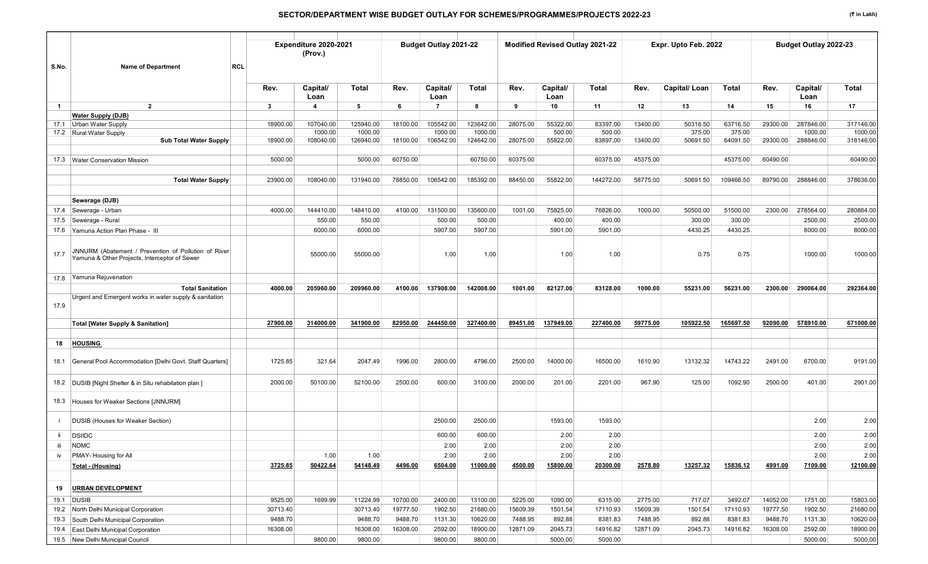| S.No.          | <b>Name of Department</b>                                                                             | <b>RCL</b> |              | Expenditure 2020-2021<br>(Prov.) |                      |          | Budget Outlay 2021-22 |                      |          |                    | Modified Revised Outlay 2021-22 |          | Expr. Upto Feb. 2022 |                    |          | Budget Outlay 2022-23 |                      |
|----------------|-------------------------------------------------------------------------------------------------------|------------|--------------|----------------------------------|----------------------|----------|-----------------------|----------------------|----------|--------------------|---------------------------------|----------|----------------------|--------------------|----------|-----------------------|----------------------|
|                |                                                                                                       |            |              |                                  |                      |          |                       |                      |          |                    |                                 |          |                      |                    |          |                       |                      |
|                |                                                                                                       |            | Rev.         | Capital/<br>Loan                 | Total                | Rev.     | Capital/<br>Loan      | Total                | Rev.     | Capital/<br>Loan   | Total                           | Rev.     | Capital/Loan         | Total              | Rev.     | Capital/<br>Loan      | <b>Total</b>         |
| $\overline{1}$ | $\overline{2}$                                                                                        |            | $\mathbf{3}$ | $\overline{4}$                   | 5                    | 6        | $\overline{7}$        | 8                    | 9        | 10                 | 11                              | 12       | 13                   | 14                 | 15       | 16                    | 17                   |
|                | <b>Water Supply (DJB)</b>                                                                             |            |              |                                  |                      |          |                       |                      |          |                    |                                 |          |                      |                    |          |                       |                      |
|                | 17.1 Urban Water Supply                                                                               |            | 18900.00     | 107040.00                        | 125940.00            | 18100.00 | 105542.00             | 123642.00            | 28075.00 | 55322.00           | 83397.00                        | 13400.00 | 50316.50             | 63716.50           | 29300.00 | 287846.00             | 317146.00            |
|                | 17.2 Rural Water Supply<br><b>Sub Total Water Supply</b>                                              |            | 18900.00     | 1000.00<br>108040.00             | 1000.00<br>126940.00 | 18100.00 | 1000.00<br>106542.00  | 1000.00<br>124642.00 | 28075.00 | 500.00<br>55822.00 | 500.00<br>83897.00              | 13400.00 | 375.00<br>50691.50   | 375.00<br>64091.50 | 29300.00 | 1000.00<br>288846.00  | 1000.00<br>318146.00 |
|                |                                                                                                       |            |              |                                  |                      |          |                       |                      |          |                    |                                 |          |                      |                    |          |                       |                      |
|                | 17.3 Water Conservation Mission                                                                       |            | 5000.00      |                                  | 5000.00              | 60750.00 |                       | 60750.00             | 60375.00 |                    | 60375.00                        | 45375.00 |                      | 45375.00           | 60490.00 |                       | 60490.00             |
|                |                                                                                                       |            |              |                                  |                      |          |                       |                      |          |                    |                                 |          |                      |                    |          |                       |                      |
|                | <b>Total Water Supply</b>                                                                             |            | 23900.00     | 108040.00                        | 131940.00            | 78850.00 | 106542.00             | 185392.00            | 88450.00 | 55822.00           | 144272.00                       | 58775.00 | 50691.50             | 109466.50          | 89790.00 | 288846.00             | 378636.00            |
|                |                                                                                                       |            |              |                                  |                      |          |                       |                      |          |                    |                                 |          |                      |                    |          |                       |                      |
|                | Sewerage (DJB)                                                                                        |            |              |                                  |                      |          |                       |                      |          |                    |                                 |          |                      |                    |          |                       |                      |
|                | 17.4 Sewerage - Urban                                                                                 |            | 4000.00      | 144410.00                        | 148410.00            | 4100.00  | 131500.00             | 135600.00            | 1001.00  | 75825.00           | 76826.00                        | 1000.00  | 50500.00             | 51500.00           | 2300.00  | 278564.00             | 280864.00            |
|                | 17.5 Sewerage - Rural                                                                                 |            |              | 550.00                           | 550.00               |          | 500.00                | 500.00               |          | 400.00             | 400.00                          |          | 300.00               | 300.00             |          | 2500.00               | 2500.00              |
|                | 17.6 Yamuna Action Plan Phase - III                                                                   |            |              | 6000.00                          | 6000.00              |          | 5907.00               | 5907.00              |          | 5901.00            | 5901.00                         |          | 4430.25              | 4430.25            |          | 8000.00               | 8000.00              |
| 17.7           | JNNURM (Abatement / Prevention of Pollution of River<br>Yamuna & Other Projects, Interceptor of Sewer |            |              | 55000.00                         | 55000.00             |          | 1.00                  | 1.00                 |          | 1.00               | 1.00                            |          | 0.75                 | 0.75               |          | 1000.00               | 1000.00              |
|                | 17.8 Yamuna Rejuvenation                                                                              |            |              |                                  |                      |          |                       |                      |          |                    |                                 |          |                      |                    |          |                       |                      |
|                | <b>Total Sanitation</b>                                                                               |            | 4000.00      | 205960.00                        | 209960.00            | 4100.00  | 137908.00             | 142008.00            | 1001.00  | 82127.00           | 83128.00                        | 1000.00  | 55231.00             | 56231.00           | 2300.00  | 290064.00             | 292364.00            |
| 17.9           | Urgent and Emergent works in water supply & sanitation                                                |            |              |                                  |                      |          |                       |                      |          |                    |                                 |          |                      |                    |          |                       |                      |
|                | <b>Total [Water Supply &amp; Sanitation]</b>                                                          |            | 27900.00     | 314000.00                        | 341900.00            | 82950.00 | 244450.00             | 327400.00            | 89451.00 | 137949.00          | 227400.00                       | 59775.00 | 105922.50            | 165697.50          | 92090.00 | 578910.00             | 671000.00            |
| 18             | <b>HOUSING</b>                                                                                        |            |              |                                  |                      |          |                       |                      |          |                    |                                 |          |                      |                    |          |                       |                      |
| 18.1           | General Pool Accommodation [Delhi Govt. Staff Quarters]                                               |            | 1725.85      | 321.64                           | 2047.49              | 1996.00  | 2800.00               | 4796.00              | 2500.00  | 14000.00           | 16500.00                        | 1610.90  | 13132.32             | 14743.22           | 2491.00  | 6700.00               | 9191.00              |
|                | 18.2 DUSIB [Night Shelter & in Situ rehabilation plan ]                                               |            | 2000.00      | 50100.00                         | 52100.00             | 2500.00  | 600.00                | 3100.00              | 2000.00  | 201.00             | 2201.00                         | 967.90   | 125.00               | 1092.90            | 2500.00  | 401.00                | 2901.00              |
|                | 18.3 Houses for Weaker Sections [JNNURM]                                                              |            |              |                                  |                      |          |                       |                      |          |                    |                                 |          |                      |                    |          |                       |                      |
| ÷              | <b>DUSIB (Houses for Weaker Section)</b>                                                              |            |              |                                  |                      |          | 2500.00               | 2500.00              |          | 1593.00            | 1593.00                         |          |                      |                    |          | 2.00                  | 2.00                 |
| ii.            | <b>DSIIDC</b>                                                                                         |            |              |                                  |                      |          | 600.00                | 600.00               |          | 2.00               | 2.00                            |          |                      |                    |          | 2.00                  | 2.00                 |
| Ш              | <b>NDMC</b>                                                                                           |            |              |                                  |                      |          | 2.00                  | 2.00                 |          | 2.00               | 2.00                            |          |                      |                    |          | 2.00                  | 2.00                 |
| iv             | PMAY- Housing for All                                                                                 |            |              | 1.00                             | 1.00                 |          | 2.00                  | 2.00                 |          | 2.00               | 2.00                            |          |                      |                    |          | 2.00                  | 2.00                 |
|                | Total - (Housing)                                                                                     |            | 3725.85      | 50422.64                         | 54148.49             | 4496.00  | 6504.00               | 11000.00             | 4500.00  | 15800.00           | 20300.00                        | 2578.80  | 13257.32             | 15836.12           | 4991.00  | 7109.00               | 12100.00             |
|                |                                                                                                       |            |              |                                  |                      |          |                       |                      |          |                    |                                 |          |                      |                    |          |                       |                      |
| 19             | <b>URBAN DEVELOPMENT</b>                                                                              |            |              |                                  |                      |          |                       |                      |          |                    |                                 |          |                      |                    |          |                       |                      |
|                | 19.1 DUSIB                                                                                            |            | 9525.00      | 1699.99                          | 11224.99             | 10700.00 | 2400.00               | 13100.00             | 5225.00  | 1090.00            | 6315.00                         | 2775.00  | 717.07               | 3492.07            | 14052.00 | 1751.00               | 15803.00             |
|                | 19.2 North Delhi Municipal Corporation                                                                |            | 30713.40     |                                  | 30713.40             | 19777.50 | 1902.50               | 21680.00             | 15609.39 | 1501.54            | 17110.93                        | 15609.39 | 1501.54              | 17110.93           | 19777.50 | 1902.50               | 21680.00             |
|                | 19.3 South Delhi Municipal Corporation                                                                |            | 9488.70      |                                  | 9488.70              | 9488.70  | 1131.30               | 10620.00             | 7488.95  | 892.88             | 8381.83                         | 7488.95  | 892.88               | 8381.83            | 9488.70  | 1131.30               | 10620.00             |
|                | 19.4 East Delhi Municipal Corporation                                                                 |            | 16308.00     |                                  | 16308.00             | 16308.00 | 2592.00               | 18900.00             | 12871.09 | 2045.73            | 14916.82                        | 12871.09 | 2045.73              | 14916.82           | 16308.00 | 2592.00               | 18900.00             |
|                | 19.5 New Delhi Municipal Council                                                                      |            |              | 9800.00                          | 9800.00              |          | 9800.00               | 9800.00              |          | 5000.00            | 5000.00                         |          |                      |                    |          | 5000.00               | 5000.00              |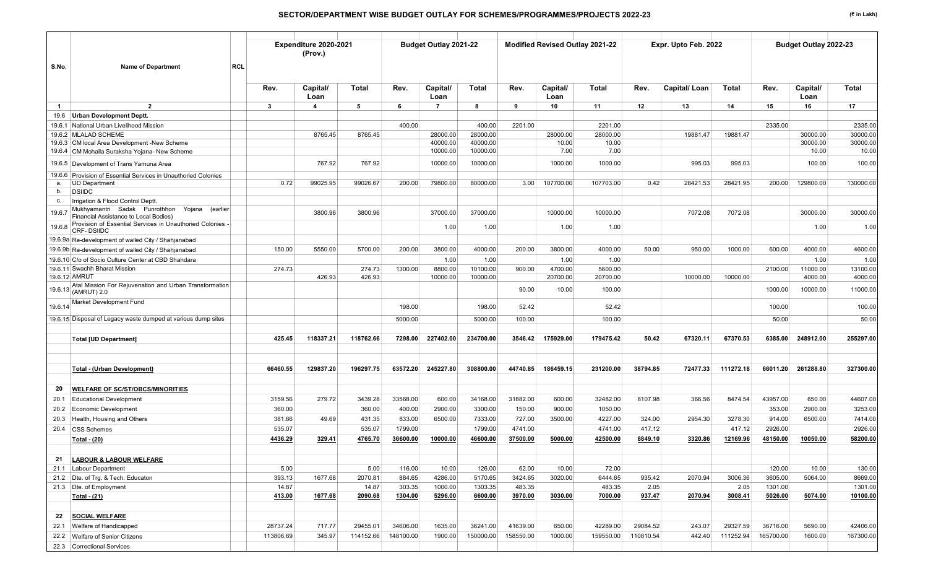| S.No.<br><b>RCL</b><br><b>Name of Department</b>                                                    |                 | Expenditure 2020-2021<br>(Prov.) |                  |                  | Budget Outlay 2021-22 |                    |                   | Modified Revised Outlay 2021-22 |                   |                | Expr. Upto Feb. 2022 |                 |                    | Budget Outlay 2022-23 |                    |
|-----------------------------------------------------------------------------------------------------|-----------------|----------------------------------|------------------|------------------|-----------------------|--------------------|-------------------|---------------------------------|-------------------|----------------|----------------------|-----------------|--------------------|-----------------------|--------------------|
|                                                                                                     | Rev.            | Capital/<br>Loan                 | Total            | Rev.             | Capital/<br>Loan      | Total              | Rev.              | Capital/<br>Loan                | Total             | Rev.           | Capital/Loan         | Total           | Rev.               | Capital/<br>Loan      | Total              |
| $\overline{2}$<br>$\mathbf{1}$                                                                      | $\mathbf{3}$    | $\overline{4}$                   | 5                | - 6              | $\overline{7}$        | 8                  | 9                 | 10                              | 11                | 12             | 13                   | 14              | 15                 | 16                    | 17                 |
| <b>Urban Development Deptt.</b><br>19.6                                                             |                 |                                  |                  |                  |                       |                    |                   |                                 |                   |                |                      |                 |                    |                       |                    |
| 19.6.1 National Urban Livelihood Mission                                                            |                 |                                  |                  | 400.00           |                       | 400.00             | 2201.00           |                                 | 2201.00           |                |                      |                 | 2335.00            |                       | 2335.00            |
| 19.6.2 MLALAD SCHEME                                                                                |                 | 8765.45                          | 8765.45          |                  | 28000.00              | 28000.00           |                   | 28000.00                        | 28000.00          |                | 19881.47             | 19881.47        |                    | 30000.00              | 30000.00           |
| 19.6.3 CM local Area Development -New Scheme                                                        |                 |                                  |                  |                  | 40000.00              | 40000.00           |                   | 10.00                           | 10.00             |                |                      |                 |                    | 30000.00              | 30000.00           |
| 19.6.4 CM Mohalla Suraksha Yojana- New Scheme                                                       |                 |                                  |                  |                  | 10000.00              | 10000.00           |                   | 7.00                            | 7.00              |                |                      |                 |                    | 10.00                 | 10.00              |
| 19.6.5 Development of Trans Yamuna Area                                                             |                 | 767.92                           | 767.92           |                  | 10000.00              | 10000.00           |                   | 1000.00                         | 1000.00           |                | 995.03               | 995.03          |                    | 100.00                | 100.00             |
| Provision of Essential Services in Unauthoried Colonies<br>19.6.6                                   | 0.72            | 99025.95                         | 99026.67         | 200.00           | 79800.00              | 80000.00           | 3.00              | 107700.00                       | 107703.00         | 0.42           | 28421.53             | 28421.95        | 200.00             | 129800.00             | 130000.00          |
| <b>UD Department</b><br>а.<br><b>DSIIDC</b><br>b.                                                   |                 |                                  |                  |                  |                       |                    |                   |                                 |                   |                |                      |                 |                    |                       |                    |
| Irrigation & Flood Control Deptt.<br>С.                                                             |                 |                                  |                  |                  |                       |                    |                   |                                 |                   |                |                      |                 |                    |                       |                    |
| Mukhyamantri Sadak Punrothhon<br>Yojana (earlier<br>19.6.7<br>Financial Assistance to Local Bodies) |                 | 3800.96                          | 3800.96          |                  | 37000.00              | 37000.00           |                   | 10000.00                        | 10000.00          |                | 7072.08              | 7072.08         |                    | 30000.00              | 30000.00           |
| Provision of Essential Services in Unauthoried Colonies -<br>19.6.8<br><b>CRF-DSIIDC</b>            |                 |                                  |                  |                  | 1.00                  | 1.00               |                   | 1.00                            | 1.00              |                |                      |                 |                    | 1.00                  | 1.00               |
| 19.6.9a Re-development of walled City / Shahjanabad                                                 |                 |                                  |                  |                  |                       |                    |                   |                                 |                   |                |                      |                 |                    |                       |                    |
| 19.6.9b Re-development of walled City / Shahjanabad                                                 | 150.00          | 5550.00                          | 5700.00          | 200.00           | 3800.00               | 4000.00            | 200.00            | 3800.00                         | 4000.00           | 50.00          | 950.00               | 1000.00         | 600.00             | 4000.00               | 4600.00            |
| 19.6.10 C/o of Socio Culture Center at CBD Shahdara                                                 |                 |                                  |                  |                  | 1.00                  | 1.00               |                   | 1.00                            | 1.00              |                |                      |                 |                    | 1.00                  | 1.00               |
| 19.6.11 Swachh Bharat Mission                                                                       | 274.73          |                                  | 274.73           | 1300.00          | 8800.00               | 10100.00           | 900.00            | 4700.00                         | 5600.00           |                |                      |                 | 2100.00            | 11000.00              | 13100.00           |
| 19.6.12 AMRUT                                                                                       |                 | 426.93                           | 426.93           |                  | 10000.00              | 10000.00           |                   | 20700.00                        | 20700.00          |                | 10000.00             | 10000.00        |                    | 4000.00               | 4000.00            |
| Atal Mission For Rejuvenation and Urban Transformation<br>19.6.13 (AMRUT) 2.0                       |                 |                                  |                  |                  |                       |                    | 90.00             | 10.00                           | 100.00            |                |                      |                 | 1000.00            | 10000.00              | 11000.00           |
| Market Development Fund<br>19.6.14                                                                  |                 |                                  |                  | 198.00           |                       | 198.00             | 52.42             |                                 | 52.42             |                |                      |                 | 100.00             |                       | 100.00             |
| 19.6.15 Disposal of Legacy waste dumped at various dump sites                                       |                 |                                  |                  | 5000.00          |                       | 5000.00            | 100.00            |                                 | 100.00            |                |                      |                 | 50.00              |                       | 50.00              |
| <b>Total [UD Department]</b>                                                                        | 425.45          | 118337.21                        | 118762.66        | 7298.00          | 227402.00             | 234700.00          | 3546.42           | 175929.00                       | 179475.42         | 50.42          | 67320.11             | 67370.53        | 6385.00            | 248912.00             | 255297.00          |
| Total - (Urban Development)                                                                         | 66460.55        | 129837.20                        | 196297.75        | 63572.20         | 245227.80             | 308800.00          | 44740.85          | 186459.15                       | 231200.00         | 38794.85       | 72477.33             | 111272.18       | 66011.20           | 261288.80             | 327300.00          |
| <b>WELFARE OF SC/ST/OBCS/MINORITIES</b><br>20                                                       |                 |                                  |                  |                  |                       |                    |                   |                                 |                   |                |                      |                 |                    |                       |                    |
| 20.1<br><b>Educational Development</b>                                                              | 3159.56         | 279.72                           | 3439.28          | 33568.00         | 600.00                | 34168.00           | 31882.00          | 600.00                          | 32482.00          | 8107.98        | 366.56               | 8474.54         | 43957.00           | 650.00                | 44607.00           |
| Economic Development<br>20.2                                                                        | 360.00          |                                  | 360.00           | 400.00           | 2900.00               | 3300.00            | 150.00            | 900.00                          | 1050.00           |                |                      |                 | 353.00             | 2900.00               | 3253.00            |
| Health, Housing and Others<br>20.3                                                                  | 381.66          | 49.69                            | 431.35           | 833.00           | 6500.00               | 7333.00            | 727.00            | 3500.00                         | 4227.00           | 324.00         | 2954.30              | 3278.30         | 914.00             | 6500.00               | 7414.00            |
| 20.4 CSS Schemes                                                                                    | 535.07          |                                  | 535.07           | 1799.00          |                       | 1799.00            | 4741.00           |                                 | 4741.00           | 417.12         |                      | 417.12          | 2926.00            |                       | 2926.00            |
| <b>Total - (20)</b>                                                                                 | 4436.29         | 329.41                           | 4765.70          | 36600.00         | 10000.00              | 46600.00           | 37500.00          | 5000.00                         | 42500.00          | 8849.10        | 3320.86              | 12169.96        | 48150.00           | 10050.00              | 58200.00           |
|                                                                                                     |                 |                                  |                  |                  |                       |                    |                   |                                 |                   |                |                      |                 |                    |                       |                    |
| <b>LABOUR &amp; LABOUR WELFARE</b><br>21                                                            |                 |                                  |                  |                  |                       |                    |                   |                                 |                   |                |                      |                 |                    |                       |                    |
| 21.1 Labour Department                                                                              | 5.00            |                                  | 5.00             | 116.00           | 10.00<br>4286.00      | 126.00             | 62.00             | 10.00                           | 72.00             |                |                      |                 | 120.00             | 10.00                 | 130.00             |
| 21.2 Dte. of Trg. & Tech. Educaton<br>21.3 Dte. of Employment                                       | 393.13<br>14.87 | 1677.68                          | 2070.81<br>14.87 | 884.65<br>303.35 | 1000.00               | 5170.65<br>1303.35 | 3424.65<br>483.35 | 3020.00                         | 6444.65<br>483.35 | 935.42<br>2.05 | 2070.94              | 3006.36<br>2.05 | 3605.00<br>1301.00 | 5064.00               | 8669.00<br>1301.00 |
| Total - (21)                                                                                        | 413.00          | 1677.68                          | 2090.68          | 1304.00          | 5296.00               | 6600.00            | 3970.00           | 3030.00                         | 7000.00           | 937.47         | 2070.94              | 3008.41         | 5026.00            | 5074.00               | 10100.00           |
|                                                                                                     |                 |                                  |                  |                  |                       |                    |                   |                                 |                   |                |                      |                 |                    |                       |                    |
| <b>SOCIAL WELFARE</b><br>22                                                                         |                 |                                  |                  |                  |                       |                    |                   |                                 |                   |                |                      |                 |                    |                       |                    |
| 22.1 Welfare of Handicapped                                                                         | 28737.24        | 717.77                           | 29455.01         | 34606.00         | 1635.00               | 36241.00           | 41639.00          | 650.00                          | 42289.00          | 29084.52       | 243.07               | 29327.59        | 36716.00           | 5690.00               | 42406.00           |
| 22.2 Welfare of Senior Citizens                                                                     | 113806.69       | 345.97                           | 114152.66        | 148100.00        | 1900.00               | 150000.00          | 158550.00         | 1000.00                         | 159550.00         | 110810.54      | 442.40               | 111252.94       | 165700.00          | 1600.00               | 167300.00          |
| 22.3 Correctional Services                                                                          |                 |                                  |                  |                  |                       |                    |                   |                                 |                   |                |                      |                 |                    |                       |                    |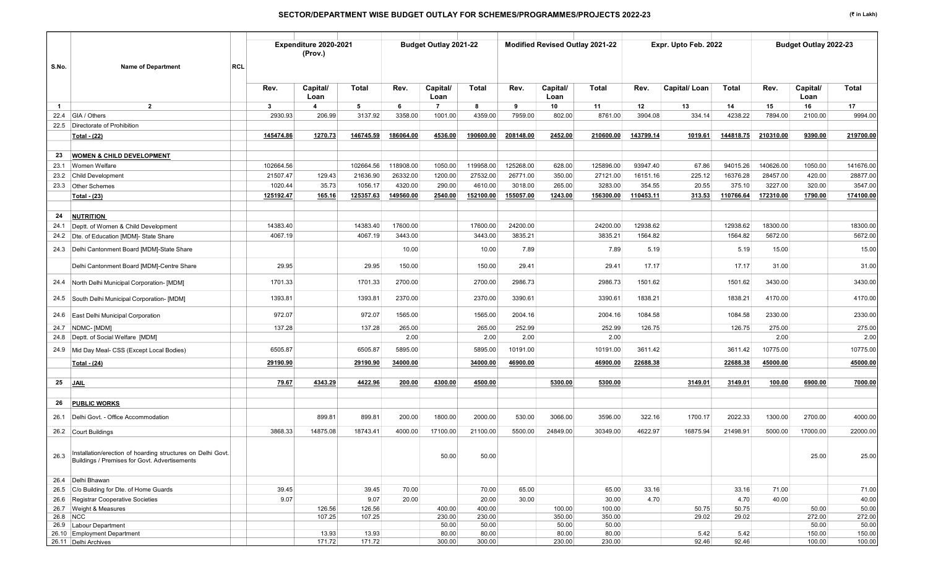|              |                                                                                                              |            |           | Expenditure 2020-2021 |                     |           | <b>Budget Outlay 2021-22</b> |                 |           |                  | Modified Revised Outlay 2021-22 |                     | Expr. Upto Feb. 2022 |                     |           | Budget Outlay 2022-23 |                     |
|--------------|--------------------------------------------------------------------------------------------------------------|------------|-----------|-----------------------|---------------------|-----------|------------------------------|-----------------|-----------|------------------|---------------------------------|---------------------|----------------------|---------------------|-----------|-----------------------|---------------------|
|              |                                                                                                              |            |           | (Prov.)               |                     |           |                              |                 |           |                  |                                 |                     |                      |                     |           |                       |                     |
| S.No.        | <b>Name of Department</b>                                                                                    | <b>RCL</b> |           |                       |                     |           |                              |                 |           |                  |                                 |                     |                      |                     |           |                       |                     |
|              |                                                                                                              |            | Rev.      | Capital/<br>Loan      | <b>Total</b>        | Rev.      | Capital/<br>Loan             | <b>Total</b>    | Rev.      | Capital/<br>Loan | Total                           | Rev.                | Capital/Loan         | Total               | Rev.      | Capital/<br>Loan      | <b>Total</b>        |
| $\mathbf{1}$ | $\overline{2}$                                                                                               |            | 3         | $\boldsymbol{4}$      | 5                   | 6         | $\overline{7}$               | 8               | 9         | 10               | 11                              | 12                  | 13                   | 14                  | 15        | 16                    | 17                  |
| 22.4         | GIA / Others                                                                                                 |            | 2930.93   | 206.99                | 3137.92             | 3358.00   | 1001.00                      | 4359.00         | 7959.00   | 802.00           | 8761.00                         | 3904.08             | 334.14               | 4238.22             | 7894.00   | 2100.00               | 9994.00             |
|              | 22.5 Directorate of Prohibition                                                                              |            |           |                       |                     |           |                              |                 |           |                  |                                 |                     |                      |                     |           |                       |                     |
|              | Total - (22)                                                                                                 |            | 145474.86 | 1270.73               | 146745.59           | 186064.00 | 4536.00                      | 190600.00       | 208148.00 | 2452.00          | 210600.00                       | 143799.14           | 1019.61              | 144818.75           | 210310.00 | 9390.00               | 219700.00           |
|              |                                                                                                              |            |           |                       |                     |           |                              |                 |           |                  |                                 |                     |                      |                     |           |                       |                     |
| 23           | <b>WOMEN &amp; CHILD DEVELOPMENT</b>                                                                         |            |           |                       |                     |           |                              |                 |           |                  |                                 |                     |                      |                     |           |                       |                     |
| 23.1         | Women Welfare                                                                                                |            | 102664.56 |                       | 102664.56           | 118908.00 | 1050.00                      | 119958.00       | 125268.00 | 628.00           | 125896.00                       | 93947.40            | 67.86                | 94015.26            | 140626.00 | 1050.00               | 141676.00           |
| 23.2         | <b>Child Development</b>                                                                                     |            | 21507.47  | 129.43                | 21636.90            | 26332.00  | 1200.00                      | 27532.00        | 26771.00  | 350.00           | 27121.00                        | 16151.16            | 225.12               | 16376.28            | 28457.00  | 420.00                | 28877.00            |
| 23.3         | <b>Other Schemes</b>                                                                                         |            | 1020.44   | 35.73                 | 1056.17             | 4320.00   | 290.00                       | 4610.00         | 3018.00   | 265.00           | 3283.00                         | 354.55              | 20.55                | 375.10              | 3227.00   | 320.00                | 3547.00             |
|              | Total - (23)                                                                                                 |            | 125192.47 | 165.16                | 125357.63           | 149560.00 | 2540.00                      | 152100.00       | 155057.00 | 1243.00          | 156300.00                       | 110453.11           | 313.53               | 110766.64           | 172310.00 | 1790.00               | 174100.00           |
|              |                                                                                                              |            |           |                       |                     |           |                              |                 |           |                  |                                 |                     |                      |                     |           |                       |                     |
| 24           | <b>NUTRITION</b><br>Deptt. of Women & Child Development                                                      |            | 14383.40  |                       |                     | 17600.00  |                              | 17600.00        | 24200.00  |                  | 24200.00                        |                     |                      |                     | 18300.00  |                       |                     |
| 24.1         | 24.2 Dte. of Education [MDM]- State Share                                                                    |            | 4067.19   |                       | 14383.40<br>4067.19 | 3443.00   |                              | 3443.00         | 3835.21   |                  | 3835.21                         | 12938.62<br>1564.82 |                      | 12938.62<br>1564.82 | 5672.00   |                       | 18300.00<br>5672.00 |
|              |                                                                                                              |            |           |                       |                     |           |                              |                 |           |                  |                                 |                     |                      |                     |           |                       |                     |
| 24.3         | Delhi Cantonment Board [MDM]-State Share                                                                     |            |           |                       |                     | 10.00     |                              | 10.00           | 7.89      |                  | 7.89                            | 5.19                |                      | 5.19                | 15.00     |                       | 15.00               |
|              | Delhi Cantonment Board [MDM]-Centre Share                                                                    |            | 29.95     |                       | 29.95               | 150.00    |                              | 150.00          | 29.41     |                  | 29.41                           | 17.17               |                      | 17.17               | 31.00     |                       | 31.00               |
| 24.4         | North Delhi Municipal Corporation- [MDM]                                                                     |            | 1701.33   |                       | 1701.33             | 2700.00   |                              | 2700.00         | 2986.73   |                  | 2986.73                         | 1501.62             |                      | 1501.62             | 3430.00   |                       | 3430.00             |
| 24.5         | South Delhi Municipal Corporation- [MDM]                                                                     |            | 1393.81   |                       | 1393.81             | 2370.00   |                              | 2370.00         | 3390.61   |                  | 3390.61                         | 1838.21             |                      | 1838.21             | 4170.00   |                       | 4170.00             |
| 24.6         | East Delhi Municipal Corporation                                                                             |            | 972.07    |                       | 972.07              | 1565.00   |                              | 1565.00         | 2004.16   |                  | 2004.16                         | 1084.58             |                      | 1084.58             | 2330.00   |                       | 2330.00             |
|              | 24.7   NDMC- [MDM]                                                                                           |            | 137.28    |                       | 137.28              | 265.00    |                              | 265.00          | 252.99    |                  | 252.99                          | 126.75              |                      | 126.75              | 275.00    |                       | 275.00              |
|              | 24.8   Deptt. of Social Welfare [MDM]                                                                        |            |           |                       |                     | 2.00      |                              | 2.00            | 2.00      |                  | 2.00                            |                     |                      |                     | 2.00      |                       | 2.00                |
| 24.9         | Mid Day Meal- CSS (Except Local Bodies)                                                                      |            | 6505.87   |                       | 6505.87             | 5895.00   |                              | 5895.00         | 10191.00  |                  | 10191.00                        | 3611.42             |                      | 3611.42             | 10775.00  |                       | 10775.00            |
|              | Total - (24)                                                                                                 |            | 29190.90  |                       | 29190.90            | 34000.00  |                              | 34000.00        | 46900.00  |                  | 46900.00                        | 22688.38            |                      | 22688.38            | 45000.00  |                       | 45000.00            |
| 25           | <b>JAIL</b>                                                                                                  |            | 79.67     | 4343.29               | 4422.96             | 200.00    | 4300.00                      | 4500.00         |           | 5300.00          | 5300.00                         |                     | 3149.01              | 3149.01             | 100.00    | 6900.00               | 7000.00             |
|              |                                                                                                              |            |           |                       |                     |           |                              |                 |           |                  |                                 |                     |                      |                     |           |                       |                     |
| 26           | <b>PUBLIC WORKS</b>                                                                                          |            |           |                       |                     |           |                              |                 |           |                  |                                 |                     |                      |                     |           |                       |                     |
| 26.1         | Delhi Govt. - Office Accommodation                                                                           |            |           | 899.81                | 899.81              | 200.00    | 1800.00                      | 2000.00         | 530.00    | 3066.00          | 3596.00                         | 322.16              | 1700.17              | 2022.33             | 1300.00   | 2700.00               | 4000.00             |
|              | 26.2 Court Buildings                                                                                         |            | 3868.33   | 14875.08              | 18743.41            | 4000.00   | 17100.00                     | 21100.00        | 5500.00   | 24849.00         | 30349.00                        | 4622.97             | 16875.94             | 21498.91            | 5000.00   | 17000.00              | 22000.00            |
| 26.3         | Installation/erection of hoarding structures on Delhi Govt.<br>Buildings / Premises for Govt. Advertisements |            |           |                       |                     |           | 50.00                        | 50.00           |           |                  |                                 |                     |                      |                     |           | 25.00                 | 25.00               |
|              | 26.4 Delhi Bhawan                                                                                            |            |           |                       |                     |           |                              |                 |           |                  |                                 |                     |                      |                     |           |                       |                     |
|              | 26.5 C/o Building for Dte. of Home Guards                                                                    |            | 39.45     |                       | 39.45               | 70.00     |                              | 70.00           | 65.00     |                  | 65.00                           | 33.16               |                      | 33.16               | 71.00     |                       | 71.00               |
|              | 26.6 Registrar Cooperative Societies                                                                         |            | 9.07      |                       | 9.07                | 20.00     |                              | 20.00           | 30.00     |                  | 30.00                           | 4.70                |                      | 4.70                | 40.00     |                       | 40.00               |
| 26.8 NCC     | 26.7 Weight & Measures                                                                                       |            |           | 126.56                | 126.56              |           | 400.00                       | 400.00          |           | 100.00           | 100.00                          |                     | 50.75                | 50.75               |           | 50.00                 | 50.00               |
|              | 26.9 Labour Department                                                                                       |            |           | 107.25                | 107.25              |           | 230.00<br>50.00              | 230.00<br>50.00 |           | 350.00<br>50.00  | 350.00<br>50.00                 |                     | 29.02                | 29.02               |           | 272.00<br>50.00       | 272.00<br>50.00     |
|              | 26.10 Employment Department                                                                                  |            |           | 13.93                 | 13.93               |           | 80.00                        | 80.00           |           | 80.00            | 80.00                           |                     | 5.42                 | 5.42                |           | 150.00                | 150.00              |
|              | 26.11 Delhi Archives                                                                                         |            |           | 171.72                | 171.72              |           | 300.00                       | 300.00          |           | 230.00           | 230.00                          |                     | 92.46                | 92.46               |           | 100.00                | 100.00              |